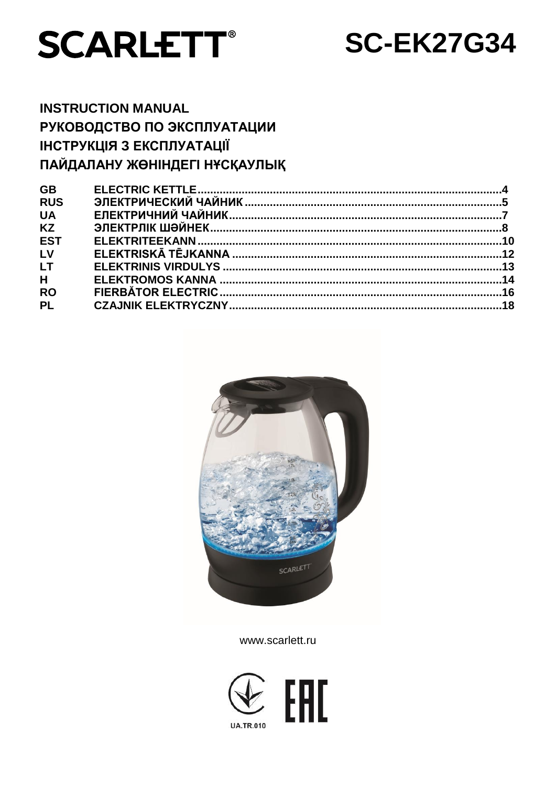

# **SC-EK27G34**

# **INSTRUCTION MANUAL** РУКОВОДСТВО ПО ЭКСПЛУАТАЦИИ ІНСТРУКЦІЯ З ЕКСПЛУАТАЦІЇ ПАЙДАЛАНУ ЖӨНІНДЕГІ НҰСҚАУЛЫҚ

| <b>GB</b>  |  |
|------------|--|
| <b>RUS</b> |  |
| <b>UA</b>  |  |
| <b>KZ</b>  |  |
| <b>EST</b> |  |
| LV         |  |
| <b>LT</b>  |  |
| H          |  |
| <b>RO</b>  |  |
| <b>PL</b>  |  |
|            |  |



www.scarlett.ru

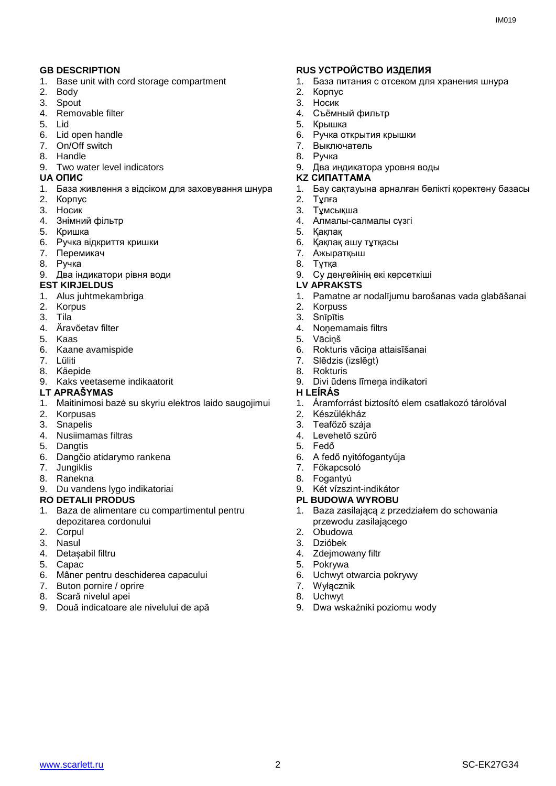- 1. Base unit with cord storage compartment
- 2. Body
- 3. Spout
- 4. Removable filter
- 5. Lid
- 6. Lid open handle
- 7. On/Off switch
- 8. Handle
- 9. Two water level indicators<br>UA ONIC

- 1. База живлення з відсіком для заховування шнура
- 2. Корпус
- 3. Носик
- 4. Знiмний фільтр
- 5. Кришка
- 6. Ручка відкриття кришки
- 7. Перемикач
- 8. Ручка
- 9. Два індикатори рівня води

#### **EST KIRJELDUS LV APRAKSTS**

- 1. Alus juhtmekambriga
- 2. Korpus
- 3. Tila
- 4. Äravõetav filter
- 5. Kaas
- 6. Kaane avamispide
- 7. Lüliti
- 8. Käepide
- 9. Kaks veetaseme indikaatorit

#### **LT APRAŠYMAS H LEÍRÁS**

- 1. Maitinimosi bazė su skyriu elektros laido saugojimui
- 2. Korpusas
- 3. Snapelis
- 4. Nusiimamas filtras
- 5. Dangtis
- 6. Dangčio atidarymo rankena
- 7. Jungiklis
- 8. Ranekna
- 9. Du vandens lygo indikatoriai

- 1. Baza de alimentare cu compartimentul pentru depozitarea cordonului
- 2. Corpul
- 3. Nasul
- 4. Detașabil filtru
- 5. Capac
- 6. Mâner pentru deschiderea capacului
- 7. Buton pornire / oprire
- 8. Scară nivelul apei
- 9. Două indicatoare ale nivelului de apă

#### **GB DESCRIPTION RUS УСТРОЙСТВО ИЗДЕЛИЯ**

- 1. База питания с отсеком для хранения шнура
- 2. Корпус
- 3. Носик
- 4. Съёмный фильтр
- 5. Крышка
- 6. Ручка открытия крышки
- 7. Выключатель
- 8. Ручка
- 9. Два индикатора уровня воды

#### **UA ОПИС KZ СИПАТТАМА**

- 1. Бау сақтауына арналған бөлікті қоректену базасы
- 2. Тұлға
- 3. Тұмсықша
- 4. Алмалы-салмалы сүзгі
- 5. Қақпақ
- 6. Қақпақ ашу тұтқасы
- 7. Ажыратқыш
- 8. Тұтқа
- 9. Су деңгейінің екі көрсеткіші
- 
- 1. Pamatne ar nodalījumu barošanas vada glabāšanai
- 2. Korpuss
- 3. Snīpītis
- 4. Noņemamais filtrs
- **Vācinš**
- 6. Rokturis vāciņa attaisīšanai
- 7. Slēdzis (izslēgt)
- 8. Rokturis
- 9. Divi ūdens līmeņa indikatori

- 1. Áramforrást biztosító elem csatlakozó tárolóval
- 2. Készülékház
- 3. Teafőző szája
- 4. Levehető szűrő
- 5. Fedő
- 6. A fedő nyitófogantyúja
- 7. Főkapcsoló
- 8. Fogantyú
- 9. Két vízszint-indikátor
- **RO DETALII PRODUS PL BUDOWA WYROBU**
	- 1. Baza zasilającą z przedziałem do schowania przewodu zasilającego
	- 2. Obudowa
	- 3. Dzióbek
	- 4. Zdejmowany filtr
	- 5. Pokrywa
	- 6. Uchwyt otwarcia pokrywy
	- 7. Wyłącznik
	- 8. Uchwyt 9. Dwa wskaźniki poziomu wody

www.scarlett.ru 2 SC-EK27G34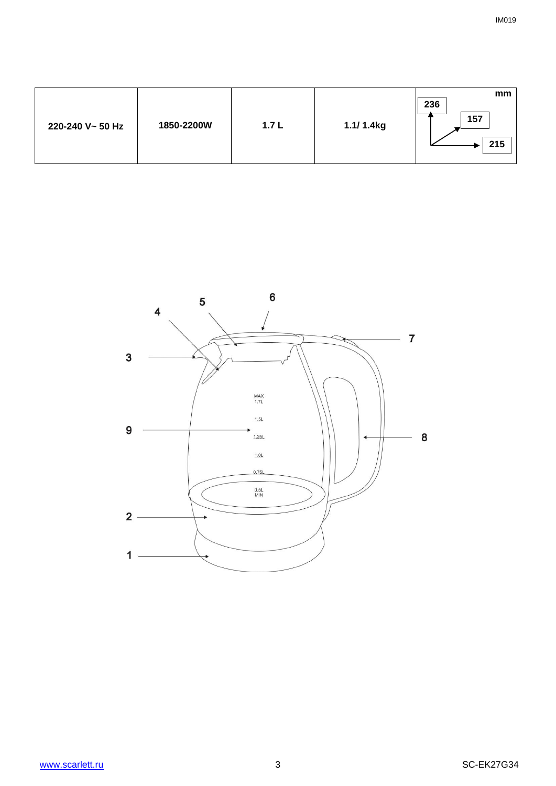| 236<br>157<br>1850-2200W<br>1.1/ 1.4kg<br>1.7 <sub>L</sub><br>220-240 V~ 50 Hz |  |  |  |  |  | mm<br>215 |
|--------------------------------------------------------------------------------|--|--|--|--|--|-----------|
|--------------------------------------------------------------------------------|--|--|--|--|--|-----------|

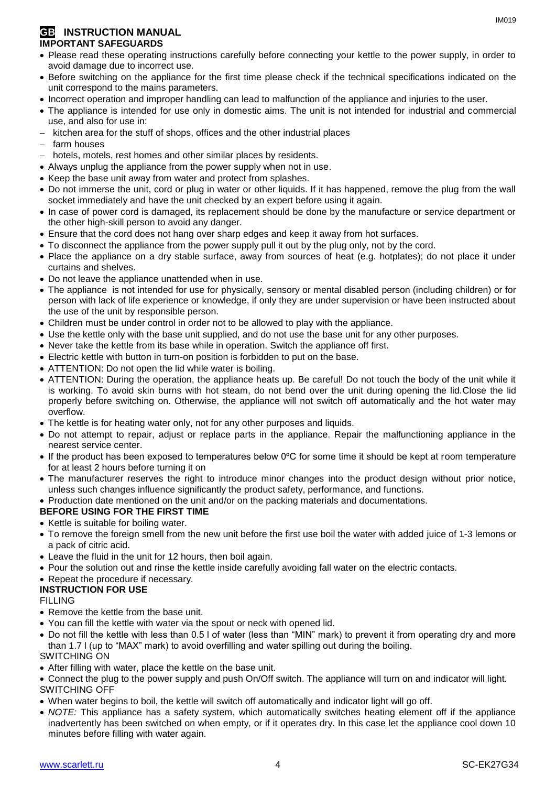#### **GB** INSTRUCTION MANUAL **IMPORTANT SAFEGUARDS**

- Please read these operating instructions carefully before connecting your kettle to the power supply, in order to avoid damage due to incorrect use.
- Before switching on the appliance for the first time please check if the technical specifications indicated on the unit correspond to the mains parameters.
- Incorrect operation and improper handling can lead to malfunction of the appliance and injuries to the user.
- The appliance is intended for use only in domestic aims. The unit is not intended for industrial and commercial use, and also for use in:
- kitchen area for the stuff of shops, offices and the other industrial places
- farm houses
- hotels, motels, rest homes and other similar places by residents.
- Always unplug the appliance from the power supply when not in use.
- Keep the base unit away from water and protect from splashes.
- Do not immerse the unit, cord or plug in water or other liquids. If it has happened, remove the plug from the wall socket immediately and have the unit checked by an expert before using it again.
- In case of power cord is damaged, its replacement should be done by the manufacture or service department or the other high-skill person to avoid any danger.
- Ensure that the cord does not hang over sharp edges and keep it away from hot surfaces.
- To disconnect the appliance from the power supply pull it out by the plug only, not by the cord.
- Place the appliance on a dry stable surface, away from sources of heat (e.g. hotplates); do not place it under curtains and shelves.
- Do not leave the appliance unattended when in use.
- The appliance is not intended for use for [physically, sensory or mental disabled](https://www.multitran.ru/c/m.exe?t=5841801_1_2&s1=%F7%E5%EB%EE%E2%E5%EA%20%F1%20%EE%E3%F0%E0%ED%E8%F7%E5%ED%ED%FB%EC%E8%20%E2%EE%E7%EC%EE%E6%ED%EE%F1%F2%FF%EC%E8) person (including children) or for person with lack of life experience or knowledge, if only they are under supervision or have been instructed about the use of the unit by responsible person.
- Children must be under control in order not to be allowed to play with the appliance.
- Use the kettle only with the base unit supplied, and do not use the base unit for any other purposes.
- Never take the kettle from its base while in operation. Switch the appliance off first.
- Electric kettle with button in turn-on position is forbidden to put on the base.
- ATTENTION: Do not open the lid while water is boiling.
- ATTENTION: During the operation, the appliance heats up. Be careful! Do not touch the body of the unit while it is working. To avoid skin burns with hot steam, do not bend over the unit during opening the lid.Close the lid properly before switching on. Otherwise, the appliance will not switch off automatically and the hot water may overflow.
- The kettle is for heating water only, not for any other purposes and liquids.
- Do not attempt to repair, adjust or replace parts in the appliance. Repair the malfunctioning appliance in the nearest service center.
- If the product has been exposed to temperatures below 0ºC for some time it should be kept at room temperature for at least 2 hours before turning it on
- The manufacturer reserves the right to introduce minor changes into the product design without prior notice, unless such changes influence significantly the product safety, performance, and functions.
- Production date mentioned on the unit and/or on the packing materials and documentations.

#### **BEFORE USING FOR THE FIRST TIME**

- Kettle is suitable for boiling water.
- To remove the foreign smell from the new unit before the first use boil the water with added juice of 1-3 lemons or a pack of citric acid.
- Leave the fluid in the unit for 12 hours, then boil again.
- Pour the solution out and rinse the kettle inside carefully avoiding fall water on the electric contacts.
- Repeat the procedure if necessary.

#### **INSTRUCTION FOR USE**

#### FILLING

- Remove the kettle from the base unit.
- You can fill the kettle with water via the spout or neck with opened lid.
- Do not fill the kettle with less than 0.5 l of water (less than "MIN" mark) to prevent it from operating dry and more than 1.7 l (up to "MAX" mark) to avoid overfilling and water spilling out during the boiling. SWITCHING ON
- After filling with water, place the kettle on the base unit.
- Connect the plug to the power supply and push On/Off switch. The appliance will turn on and indicator will light. SWITCHING OFF
- When water begins to boil, the kettle will switch off automatically and indicator light will go off.
- *NOTE:* This appliance has a safety system, which automatically switches heating element off if the appliance inadvertently has been switched on when empty, or if it operates dry. In this case let the appliance cool down 10 minutes before filling with water again.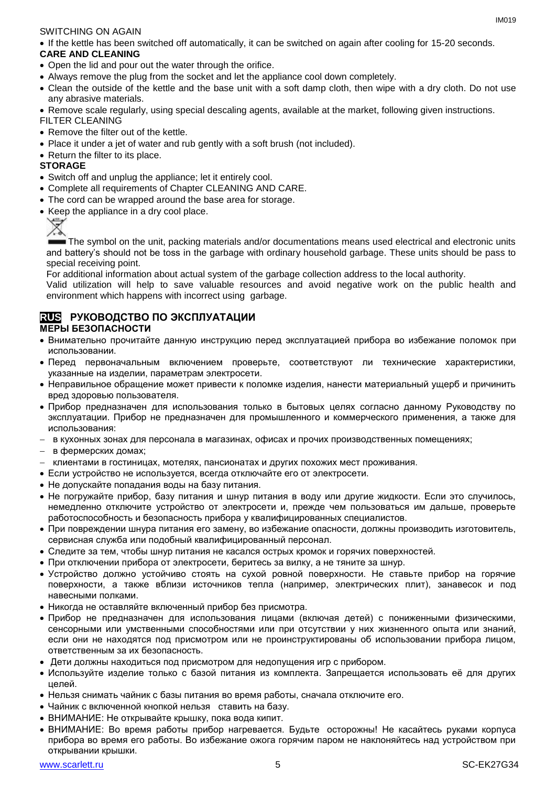#### SWITCHING ON AGAIN

If the kettle has been switched off automatically, it can be switched on again after cooling for 15-20 seconds.

#### **CARE AND CLEANING**

- Open the lid and pour out the water through the orifice.
- Always remove the plug from the socket and let the appliance cool down completely.
- Clean the outside of the kettle and the base unit with a soft damp cloth, then wipe with a dry cloth. Do not use any abrasive materials.
- Remove scale regularly, using special descaling agents, available at the market, following given instructions.

#### FILTER CLEANING

- Remove the filter out of the kettle.
- Place it under a jet of water and rub gently with a soft brush (not included).
- Return the filter to its place.

#### **STORAGE**

- Switch off and unplug the appliance; let it entirely cool.
- Complete all requirements of Chapter CLEANING AND CARE.
- The cord can be wrapped around the base area for storage.
- Keep the appliance in a dry cool place.



The symbol on the unit, packing materials and/or documentations means used electrical and electronic units and battery's should not be toss in the garbage with ordinary household garbage. These units should be pass to special receiving point.

For additional information about actual system of the garbage collection address to the local authority.

Valid utilization will help to save valuable resources and avoid negative work on the public health and environment which happens with incorrect using garbage.

#### **RUS РУКОВОДСТВО ПО ЭКСПЛУАТАЦИИ МЕРЫ БЕЗОПАСНОСТИ**

- Внимательно прочитайте данную инструкцию перед эксплуатацией прибора во избежание поломок при использовании.
- Перед первоначальным включением проверьте, соответствуют ли технические характеристики, указанные на изделии, параметрам электросети.
- Неправильное обращение может привести к поломке изделия, нанести материальный ущерб и причинить вред здоровью пользователя.
- Прибор предназначен для использования только в бытовых целях согласно данному Руководству по эксплуатации. Прибор не предназначен для промышленного и коммерческого применения, а также для использования:
- в кухонных зонах для персонала в магазинах, офисах и прочих производственных помещениях;
- в фермерских домах;
- клиентами в гостиницах, мотелях, пансионатах и других похожих мест проживания.
- Если устройство не используется, всегда отключайте его от электросети.
- Не допускайте попадания воды на базу питания.
- Не погружайте прибор, базу питания и шнур питания в воду или другие жидкости. Если это случилось, немедленно отключите устройство от электросети и, прежде чем пользоваться им дальше, проверьте работоспособность и безопасность прибора у квалифицированных специалистов.
- При повреждении шнура питания его замену, во избежание опасности, должны производить изготовитель, сервисная служба или подобный квалифицированный персонал.
- Следите за тем, чтобы шнур питания не касался острых кромок и горячих поверхностей.
- При отключении прибора от электросети, беритесь за вилку, а не тяните за шнур.
- Устройство должно устойчиво стоять на сухой ровной поверхности. Не ставьте прибор на горячие поверхности, а также вблизи источников тепла (например, электрических плит), занавесок и под навесными полками.
- Никогда не оставляйте включенный прибор без присмотра.
- Прибор не предназначен для использования лицами (включая детей) с пониженными физическими, сенсорными или умственными способностями или при отсутствии у них жизненного опыта или знаний, если они не находятся под присмотром или не проинструктированы об использовании прибора лицом, ответственным за их безопасность.
- Дети должны находиться под присмотром для недопущения игр с прибором.
- Используйте изделие только с базой питания из комплекта. Запрещается использовать её для других целей.
- Нельзя снимать чайник с базы питания во время работы, сначала отключите его.
- Чайник с включенной кнопкой нельзя ставить на базу.
- ВНИМАНИЕ: Не открывайте крышку, пока вода кипит.
- ВНИМАНИЕ: Во время работы прибор нагревается. Будьте осторожны! Не касайтесь руками корпуса прибора во время его работы. Во избежание ожога горячим паром не наклоняйтесь над устройством при открывании крышки.

 $IMA01Q$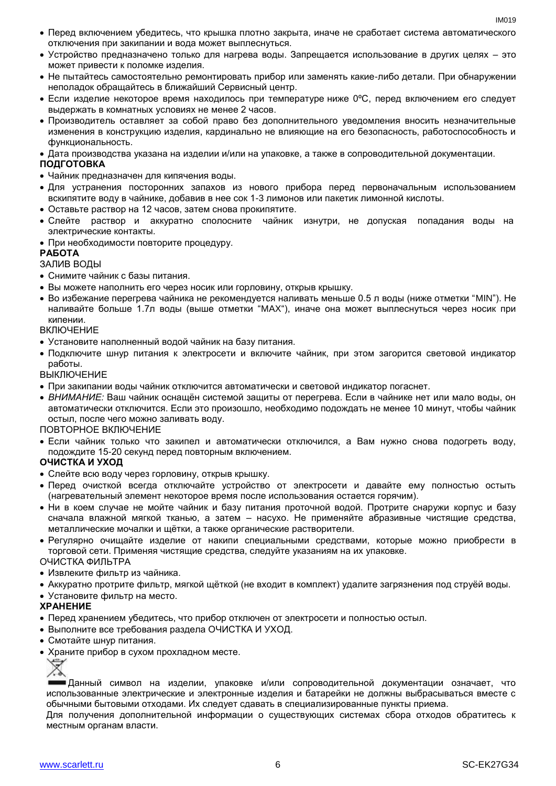- Перед включением убедитесь, что крышка плотно закрыта, иначе не сработает система автоматического отключения при закипании и вода может выплеснуться.
- Устройство предназначено только для нагрева воды. Запрещается использование в других целях это может привести к поломке изделия.
- Не пытайтесь самостоятельно ремонтировать прибор или заменять какие-либо детали. При обнаружении неполадок обращайтесь в ближайший Сервисный центр.
- Если изделие некоторое время находилось при температуре ниже 0ºC, перед включением его следует выдержать в комнатных условиях не менее 2 часов.
- Производитель оставляет за собой право без дополнительного уведомления вносить незначительные изменения в конструкцию изделия, кардинально не влияющие на его безопасность, работоспособность и функциональность.
- Дата производства указана на изделии и/или на упаковке, а также в сопроводительной документации.

#### **ПОДГОТОВКА**

- Чайник предназначен для кипячения воды.
- Для устранения посторонних запахов из нового прибора перед первоначальным использованием вскипятите воду в чайнике, добавив в нее сок 1-3 лимонов или пакетик лимонной кислоты.
- Оставьте раствор на 12 часов, затем снова прокипятите.
- Слейте раствор и аккуратно сполосните чайник изнутри, не допуская попадания воды на электрические контакты.
- При необходимости повторите процедуру.

#### **РАБОТА**

ЗАЛИВ ВОДЫ

- Снимите чайник с базы питания.
- Вы можете наполнить его через носик или горловину, открыв крышку.
- Во избежание перегрева чайника не рекомендуется наливать меньше 0.5 л воды (ниже отметки "MIN"). Не наливайте больше 1.7л воды (выше отметки "MAX"), иначе она может выплеснуться через носик при кипении.

ВКЛЮЧЕНИЕ

- Установите наполненный водой чайник на базу питания.
- Подключите шнур питания к электросети и включите чайник, при этом загорится световой индикатор работы.

ВЫКЛЮЧЕНИЕ

- При закипании воды чайник отключится автоматически и световой индикатор погаснет.
- *ВНИМАНИЕ:* Ваш чайник оснащён системой защиты от перегрева. Если в чайнике нет или мало воды, он автоматически отключится. Если это произошло, необходимо подождать не менее 10 минут, чтобы чайник остыл, после чего можно заливать воду.

ПОВТОРНОЕ ВКЛЮЧЕНИЕ

 Если чайник только что закипел и автоматически отключился, а Вам нужно снова подогреть воду, подождите 15-20 секунд перед повторным включением.

#### **ОЧИСТКА И УХОД**

- Слейте всю воду через горловину, открыв крышку.
- Перед очисткой всегда отключайте устройство от электросети и давайте ему полностью остыть (нагревательный элемент некоторое время после использования остается горячим).
- Ни в коем случае не мойте чайник и базу питания проточной водой. Протрите снаружи корпус и базу сначала влажной мягкой тканью, а затем – насухо. Не применяйте абразивные чистящие средства, металлические мочалки и щётки, а также органические растворители.
- Регулярно очищайте изделие от накипи специальными средствами, которые можно приобрести в торговой сети. Применяя чистящие средства, следуйте указаниям на их упаковке. ОЧИСТКА ФИЛЬТРА

• Извлеките фильтр из чайника.

Аккуратно протрите фильтр, мягкой щёткой (не входит в комплект) удалите загрязнения под струёй воды.

Установите фильтр на место.

#### **ХРАНЕНИЕ**

- Перед хранением убедитесь, что прибор отключен от электросети и полностью остыл.
- Выполните все требования раздела ОЧИСТКА И УХОД.
- Смотайте шнур питания.
- Храните прибор в сухом прохладном месте.

**- Данный символ на изделии, упаковке и/или сопроводительной документации означает, что** использованные электрические и электронные изделия и батарейки не должны выбрасываться вместе с обычными бытовыми отходами. Их следует сдавать в специализированные пункты приема.

Для получения дополнительной информации о существующих системах сбора отходов обратитесь к местным органам власти.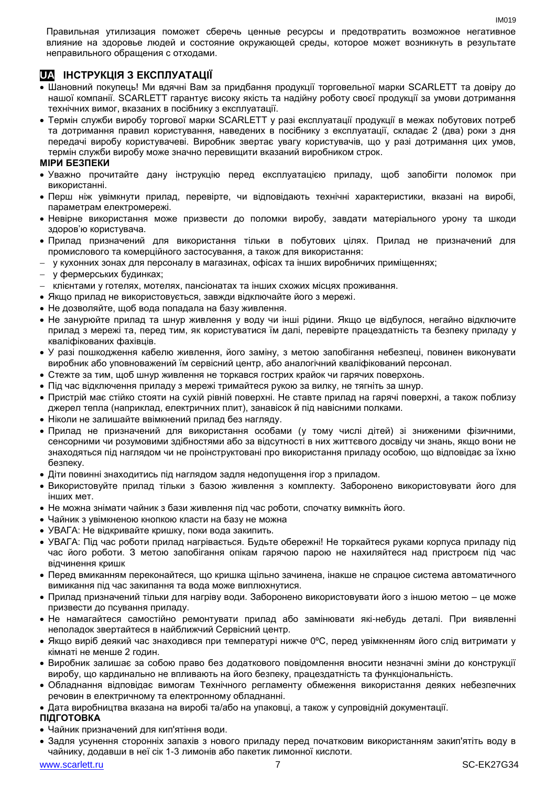Правильная утилизация поможет сберечь ценные ресурсы и предотвратить возможное негативное влияние на здоровье людей и состояние окружающей среды, которое может возникнуть в результате неправильного обращения с отходами.

### **UA ІНСТРУКЦІЯ З ЕКСПЛУАТАЦІЇ**

- Шановний покупець! Ми вдячні Вам за придбання продукції торговельної марки SCARLETT та довіру до нашої компанії. SCARLETT гарантує високу якість та надійну роботу своєї продукції за умови дотримання технічних вимог, вказаних в посібнику з експлуатації.
- Термін служби виробу торгової марки SCARLETT у разі експлуатації продукції в межах побутових потреб та дотримання правил користування, наведених в посібнику з експлуатації, складає 2 (два) роки з дня передачі виробу користувачеві. Виробник звертає увагу користувачів, що у разі дотримання цих умов, термін служби виробу може значно перевищити вказаний виробником строк.

#### **МІРИ БЕЗПЕКИ**

- Уважно прочитайте дану інструкцію перед експлуатацією приладу, щоб запобігти поломок при використанні.
- Перш ніж увімкнути прилад, перевірте, чи відповідають технічні характеристики, вказані на виробі, параметрам електромережі.
- Невiрне використання може призвести до поломки виробу, завдати матеріального урону та шкоди здоров'ю користувача.
- Прилад призначений для використання тільки в побутових цілях. Прилад не призначений для промислового та комерційного застосування, а також для використання:
- у кухонних зонах для персоналу в магазинах, офісах та інших виробничих приміщеннях;
- у фермерських будинках;
- клієнтами у готелях, мотелях, пансіонатах та інших схожих місцях проживання.
- Якщо прилад не використовується, завжди відключайте його з мережі.
- Не дозволяйте, щоб вода попадала на базу живлення.
- Не занурюйте прилад та шнур живлення у воду чи інші рідини. Якщо це відбулося, негайно відключите прилад з мережі та, перед тим, як користуватися їм далі, перевірте працездатність та безпеку приладу у кваліфікованих фахівців.
- У разі пошкодження кабелю живлення, його заміну, з метою запобігання небезпеці, повинен виконувати виробник або уповноважений їм сервісний центр, або аналогічний кваліфікований персонал.
- Стежте за тим, щоб шнур живлення не торкався гострих крайок чи гарячих поверхонь.
- Пiд час відключення приладу з мережі тримайтеся рукою за вилку, не тягніть за шнур.
- Пристрій має стійко стояти на сухій рiвній поверхні. Не ставте прилад на гарячі поверхні, а також поблизу джерел тепла (наприклад, електричних плит), занавісок й під навісними полками.
- Ніколи не залишайте ввімкнений прилад без нагляду.
- Прилад не призначений для використання особами (у тому числі дітей) зі зниженими фізичними, сенсорними чи розумовими здібностями або за відсутності в них життєвого досвіду чи знань, якщо вони не знаходяться під наглядом чи не проінструктовані про використання приладу особою, що відповідає за їхню безпеку.
- Діти повинні знаходитись під наглядом задля недопущення ігор з приладом.
- Використовуйте прилад тільки з базою живлення з комплекту. Заборонено використовувати його для iнших мет.
- Не можна знімати чайник з бази живлення пiд час роботи, спочатку вимкніть його.
- Чайник з увімкненою кнопкою класти на базу не можна
- УВАГА: Не відкривайте кришку, поки вода закипить.
- УВАГА: Під час роботи прилад нагрівається. Будьте обережні! Не торкайтеся руками корпуса приладу під час його роботи. З метою запобігання опікам гарячою парою не нахиляйтеся над пристроєм під час відчинення кришк
- Перед вмиканням переконайтеся, що кришка щільно зачинена, інакше не спрацюе система автоматичного вимикання пiд час закипання та вода може виплюхнутися.
- Прилад призначений тільки для нагріву води. Заборонено використовувати його з іншою метою це може призвести до псування приладу.
- Не намагайтеся самостійно ремонтувати прилад або замінювати які-небудь деталі. При виявленні неполадок звертайтеся в найближчий Сервісний центр.
- Якщо виріб деякий час знаходився при температурі нижче 0ºC, перед увімкненням його слід витримати у кімнаті не менше 2 годин.
- Виробник залишає за собою право без додаткового повідомлення вносити незначні зміни до конструкції виробу, що кардинально не впливають на його безпеку, працездатність та функціональність.
- Обладнання відповідає вимогам Технічного регламенту обмеження використання деяких небезпечних речовин в електричному та електронному обладнанні.
- Дата виробництва вказана на виробі та/або на упаковці, а також у супровідній документації.

#### **ПІДГОТОВКА**

- Чайник призначений для кип'ятіння води.
- Задля усунення сторонніх запахів з нового приладу перед початковим використанням закип'ятіть воду в чайнику, додавши в неї сік 1-3 лимонів або пакетик лимонної кислоти.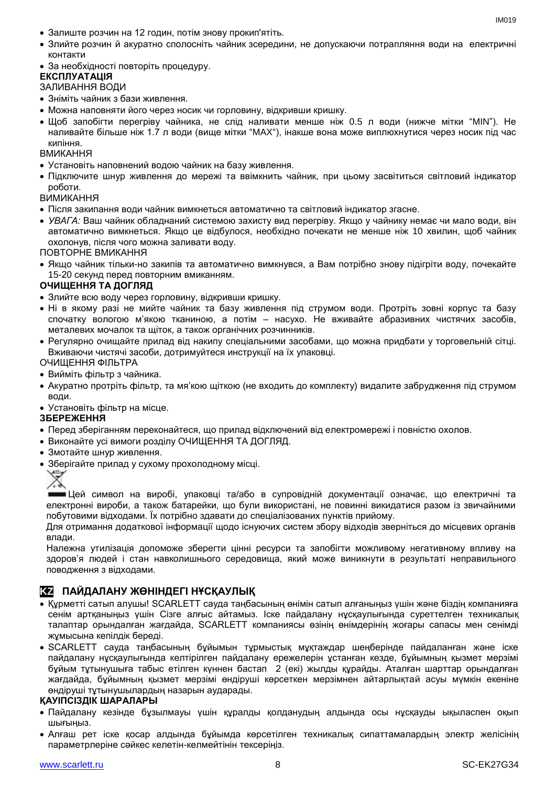- Залиште розчин на 12 годин, потім знову прокип'ятіть.
- Злийте розчин й акуратно сполосніть чайник зсередини, не допускаючи потрапляння води на електричні контакти
- За необхідності повторіть процедуру.

#### **ЕКСПЛУАТАЦІЯ**

#### ЗАЛИВАННЯ ВОДИ

- Зніміть чайник з бази живлення.
- Можна наповняти його через носик чи горловину, відкривши кришку.
- Щоб запобігти перегріву чайника, не слiд наливати менше ніж 0.5 л води (нижче мітки "MIN"). Не наливайте більше ніж 1.7 л води (вище мітки "MAX"), інакше вона може виплюхнутися через носик пiд час кипіння.

#### ВМИКАННЯ

- Установіть наповнений водою чайник на базу живлення.
- Підключите шнур живлення до мережі та ввімкнить чайник, при цьому засвітиться світловий індикатор роботи.

#### ВИМИКАННЯ

- Після закипання води чайник вимкнеться автоматично та світловий індикатор згасне.
- *УВАГА:* Ваш чайник обладнаний системою захисту вид перегріву. Якщо у чайнику немає чи мало води, він автоматично вимкнеться. Якщо це відбулося, необхідно почекати не менше ніж 10 хвилин, щоб чайник охолонув, після чого можна заливати воду.

ПОВТОРНЕ ВМИКАННЯ

 Якщо чайник тільки-но закипів та автоматично вимкнувся, а Вам потрібно знову підігріти воду, почекайте 15-20 секунд перед повторним вмиканням.

#### **ОЧИЩЕННЯ ТА ДОГЛЯД**

- Злийте всю воду через горловину, відкривши кришку.
- Ні в якому разі не мийте чайник та базу живлення під струмом води. Протріть зовні корпус та базу спочатку вологою м'якою тканиною, а потім – насухо. Не вживайте абразивних чистячих засобів, металевих мочалок та щіток, а також органічних розчинників.
- Регулярно очищайте прилад від накипу спеціальними засобами, що можна придбати у торговельній сітці. Вживаючи чистячі засоби, дотримуйтеся инструкції на їх упаковці.

ОЧИЩЕННЯ ФІЛЬТРА

- Вийміть фільтр з чайника.
- Акуратно протріть фільтр, та мя'кою щіткою (не входить до комплекту) видалите забрудження під струмом води.

Установіть фільтр на місце.

#### **ЗБЕРЕЖЕННЯ**

- Перед зберіганням переконайтеся, що прилад відключений від електромережі і повністю охолов.
- Виконайте усі вимоги розділу ОЧИЩЕННЯ ТА ДОГЛЯД.
- Змотайте шнур живлення.
- Зберігайте прилад у сухому прохолодному місці.



Цей символ на виробі, упаковці та/або в супровідній документації означає, що електричні та електронні вироби, а також батарейки, що були використані, не повинні викидатися разом із звичайними побутовими відходами. Їх потрібно здавати до спеціалізованих пунктів прийому.

Для отримання додаткової інформації щодо існуючих систем збору відходів зверніться до місцевих органів влади.

Належна утилізація допоможе зберегти цінні ресурси та запобігти можливому негативному впливу на здоров'я людей і стан навколишнього середовища, який може виникнути в результаті неправильного поводження з відходами.

#### **KZ ПАЙДАЛАНУ ЖӨНІНДЕГІ НҰСҚАУЛЫҚ**

- Құрметті сатып алушы! SCARLETT сауда таңбасының өнімін сатып алғаныңыз үшін және біздің компанияға сенім артқаныңыз үшін Сізге алғыс айтамыз. Іске пайдалану нұсқаулығында суреттелген техникалық талаптар орындалған жағдайда, SCARLETT компаниясы өзінің өнімдерінің жоғары сапасы мен сенімді жұмысына кепілдік береді.
- SCARLETT сауда таңбасының бұйымын тұрмыстық мұқтаждар шеңберінде пайдаланған және іске пайдалану нұсқаулығында келтірілген пайдалану ережелерін ұстанған кезде, бұйымның қызмет мерзімі бұйым тұтынушыға табыс етілген күннен бастап 2 (екі) жылды құрайды. Аталған шарттар орындалған жағдайда, бұйымның қызмет мерзімі өндіруші көрсеткен мерзімнен айтарлықтай асуы мүмкін екеніне өндіруші тұтынушылардың назарын аударады.

#### **ҚАУІПСІЗДІК ШАРАЛАРЫ**

- Пайдалану кезінде бұзылмауы үшін құралды қолданудың алдында осы нұсқауды ықыласпен оқып шығыңыз.
- Алғаш рет іске қосар алдында бұйымда көрсетілген техникалық сипаттамалардың электр желісінің параметрлеріне сәйкес келетін-келмейтінін тексеріңіз.

 $INAO1Q$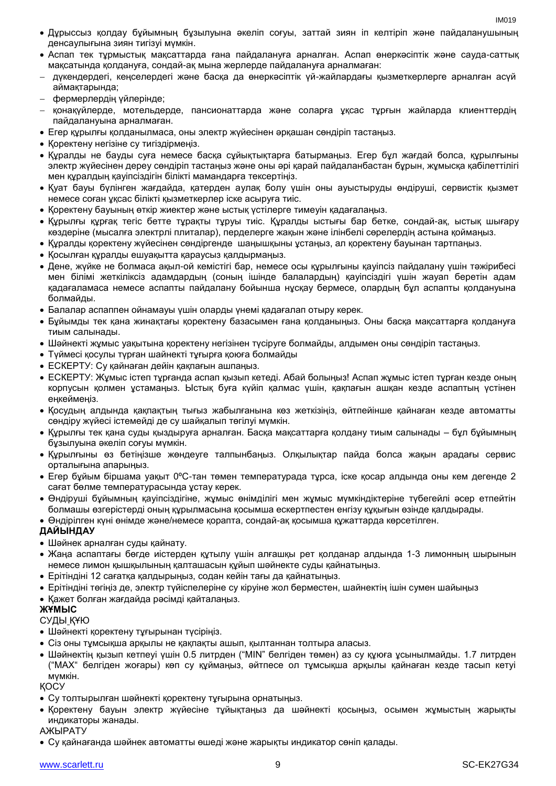- Дұрыссыз қолдау бұйымның бұзылуына әкеліп соғуы, заттай зиян іп келтіріп және пайдаланушының денсаулығына зиян тигізуі мүмкін.
- Аспап тек тұрмыстық мақсаттарда ғана пайдалануға арналған. Аспап өнеркәсіптік және сауда-саттық мақсатында қолдануға, сондай-ақ мына жерлерде пайдалануға арналмаған:
- дүкендердегі, кеңселердегі және басқа да өнеркәсіптік үй-жайлардағы қызметкерлерге арналған асүй аймақтарында;
- фермерлердің үйлерінде;
- қонақүйлерде, мотельдерде, пансионаттарда және соларға ұқсас тұрғын жайларда клиенттердің пайдалануына арналмаған.
- Егер құрылғы қолданылмаса, оны электр жүйесінен әрқашан сөндіріп тастаңыз.
- Қоректену негізіне су тигіздірмеңіз.
- Құралды не бауды суға немесе басқа сұйықтықтарға батырмаңыз. Егер бұл жағдай болса, құрылғыны электр жүйесінен дереу сөндіріп тастаңыз және оны әрі қарай пайдаланбастан бұрын, жұмысқа қабілеттілігі мен құралдың қауіпсіздігін білікті мамандарға тексертіңіз.
- Қуат бауы бүлінген жағдайда, қатерден аулақ болу үшін оны ауыстыруды өндіруші, сервистік қызмет немесе соған ұқсас білікті қызметкерлер іске асыруға тиіс.
- Қоректену бауының өткір жиектер және ыстық үстілерге тимеуін қадағалаңыз.
- Құрылғы құрғақ тегіс бетте тұрақты тұруы тиіс. Құралды ыстығы бар бетке, сондай-ақ, ыстық шығару көздеріне (мысалға электрлі плиталар), перделерге жақын және ілінбелі сөрелердің астына қоймаңыз.
- Құралды қоректену жүйесінен сөндіргенде шаңышқыны ұстаңыз, ал қоректену бауынан тартпаңыз.
- Қосылған құралды ешуақытта қараусыз қалдырмаңыз.
- Дене, жүйке не болмаса ақыл-ой кемістігі бар, немесе осы құрылғыны қауіпсіз пайдалану үшін тәжірибесі мен білімі жеткіліксіз адамдардың (соның ішінде балалардың) қауіпсіздігі үшін жауап беретін адам қадағаламаса немесе аспапты пайдалану бойынша нұсқау бермесе, олардың бұл аспапты қолдануына болмайды.
- Балалар аспаппен ойнамауы үшін оларды үнемі қадағалап отыру керек.
- Бұйымды тек қана жинақтағы қоректену базасымен ғана қолданыңыз. Оны басқа мақсаттарға қолдануға тиым салынады.
- Шәйнекті жұмыс уақытына қоректену негізінен түсіруге болмайды, алдымен оны сөндіріп тастаңыз.
- Түймесі қосулы түрған шайнекті тұғырға қоюға болмайды
- ЕСКЕРТУ: Су қайнаған дейін қақпағын ашпаңыз.
- ЕСКЕРТУ: Жұмыс істеп тұрғанда аспап қызып кетеді. Абай болыңыз! Аспап жұмыс істеп тұрған кезде оның корпусын қолмен ұстамаңыз. Ыстық буға күйіп қалмас үшін, қақпағын ашқан кезде аспаптың үстінен еңкеймеңіз.
- Қосудың алдында қақпақтың тығыз жабылғанына көз жеткізіңіз, өйтпейінше қайнаған кезде автоматты сөндіру жүйесі істемейді де су шайқалып төгілуі мүмкін.
- Құрылғы тек қана суды қыздыруға арналған. Басқа мақсаттарға қолдану тиым салынады бұл бұйымның бұзылуына әкеліп соғуы мүмкін.
- Құрылғыны өз бетіңізше жөндеуге талпынбаңыз. Олқылықтар пайда болса жақын арадағы сервис орталығына апарыңыз.
- $\bullet$  Егер буйым біршама уақыт 0°С-тан төмен температурада турса, іске қосар алдында оны кем дегенде 2 сағат бөлме температурасында ұстау керек.
- Өндіруші бұйымның қауіпсіздігіне, жұмыс өнімділігі мен жұмыс мүмкіндіктеріне түбегейлі әсер етпейтін болмашы өзгерістерді оның құрылмасына қосымша ескертпестен енгізу құқығын өзінде қалдырады.

Өндірілген күні өнімде және/немесе қорапта, сондай-ақ қосымша құжаттарда көрсетілген.

#### **ДАЙЫНДАУ**

- Шәйнек арналған суды қайнату.
- Жаңа аспаптағы бөгде иістерден құтылу үшін алғашқы рет қолданар алдында 1-3 лимонның шырынын немесе лимон қышқылының қалташасын құйып шәйнекте суды қайнатыңыз.
- Ерітіндіні 12 сағатқа қалдырыңыз, содан кейін тағы да қайнатыңыз.
- Ерітіндіні төгіңіз де, электр түйіспелеріне су кіруіне жол берместен, шайнектің ішін сумен шайыңыз
- Қажет болған жағдайда рәсімді қайталаңыз.

#### **ЖҰМЫС**

СУДЫ ҚҰЮ

- Шәйнекті қоректену тұғырынан түсіріңіз.
- Сіз оны тұмсықша арқылы не қақпақты ашып, қылтаннан толтыра алаcыз.
- Шәйнектің қызып кетпеуі үшін 0.5 литрден ("MIN" белгіден төмен) аз су құюға ұсынылмайды. 1.7 литрден ("MAX" белгіден жоғары) көп су құймаңыз, әйтпесе ол тұмсықша арқылы қайнаған кезде тасып кетуі мүмкін.

ҚОСУ

- Су толтырылған шәйнекті қоректену тұғырына орнатыңыз.
- Қоректену бауын электр жүйесіне тұйықтаңыз да шәйнекті қосыңыз, осымен жұмыстың жарықты индикаторы жанады.

#### АЖЫРАТУ

Су қайнағанда шәйнек автоматты өшеді және жарықты индикатор сөніп қалады.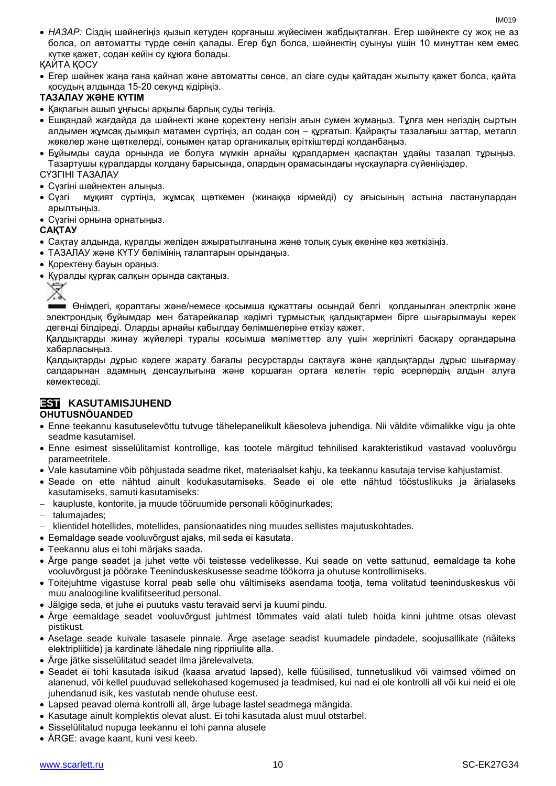*НАЗАР:* Сіздің шәйнегіңіз қызып кетуден қорғаныш жүйесімен жабдықталған. Егер шәйнекте су жоқ не аз болса, ол автоматты түрде сөніп қалады. Егер бұл болса, шәйнектің суынуы үшін 10 минуттан кем емес күтке қажет, содан кейін су құюға болады.

#### ҚАЙТА ҚОСУ

 Егер шәйнек жаңа ғана қайнап және автоматты сөнсе, ал сізге суды қайтадан жылыту қажет болса, қайта қосудың алдында 15-20 секунд кідіріңіз.

#### **ТАЗАЛАУ ЖӘНЕ КҮТІМ**

- Қақпағын ашып ұңғысы арқылы барлық суды төгіңіз.
- Ешқандай жағдайда да шәйнекті және қоректену негізін ағын сумен жумаңыз. Тұлға мен негіздің сыртын алдымен жұмсақ дымқыл матамен сүртіңіз, ал содан соң – құрғатып. Қайрақты тазалағыш заттар, металл жөкелер және щөткелерді, сонымен қатар органикалық еріткіштерді қолданбаңыз.
- Бұйымды сауда орнында ие болуға мүмкін арнайы құралдармен қаспақтан ұдайы тазалап тұрыңыз. Тазартушы құралдарды қолдану барысында, олардың орамасындағы нұсқауларға сүйеніңіздер.

#### СҮЗГІНІ ТАЗАЛАУ

- Сүзгіні шәйнектен алыңыз.
- Сүзгі мұқият сүртіңіз, жұмсақ щөткемен (жинаққа кірмейді) су ағысының астына ластанулардан арылтыңыз.
- Сүзгіні орнына орнатыңыз.

#### **САҚТАУ**

- Cақтау алдында, құралды желіден ажыратылғанына және толық суық екеніне көз жеткізіңіз.
- ТАЗАЛАУ және КҮТУ бөлімінің талаптарын орындаңыз.
- Коректену бауын ораныз.
- Құралды құрғақ салқын орында сақтаңыз.



Өнімдегі, қораптағы және/немесе қосымша құжаттағы осындай белгі қолданылған электрлік және электрондық бұйымдар мен батарейкалар кәдімгі тұрмыстық қалдықтармен бірге шығарылмауы керек дегенді білдіреді. Оларды арнайы қабылдау бөлімшелеріне өткізу қажет.

Қалдықтарды жинау жүйелері туралы қосымша мәліметтер алу үшін жергілікті басқару органдарына хабарласыңыз.

Қалдықтарды дұрыс кәдеге жарату бағалы ресурстарды сақтауға және қалдықтарды дұрыс шығармау салдарынан адамның денсаулығына және қоршаған ортаға келетін теріс әсерлердің алдын алуға көмектеседі.

### **EST KASUTAMISJUHEND**

#### **OHUTUSNÕUANDED**

- Enne teekannu kasutuselevõttu tutvuge tähelepanelikult käesoleva juhendiga. Nii väldite võimalikke vigu ja ohte seadme kasutamisel.
- Enne esimest sisselülitamist kontrollige, kas tootele märgitud tehnilised karakteristikud vastavad vooluvõrgu parameetritele.
- Vale kasutamine võib põhjustada seadme riket, materiaalset kahju, ka teekannu kasutaja tervise kahjustamist.
- Seade on ette nähtud ainult kodukasutamiseks. Seade ei ole ette nähtud tööstuslikuks ja ärialaseks kasutamiseks, samuti kasutamiseks:
- kaupluste, kontorite, ja muude tööruumide personali kööginurkades;
- talumajades;
- klientidel hotellides, motellides, pansionaatides ning muudes sellistes majutuskohtades.
- Eemaldage seade vooluvõrgust ajaks, mil seda ei kasutata.
- Teekannu alus ei tohi märjaks saada.
- Ärge pange seadet ja juhet vette või teistesse vedelikesse. Kui seade on vette sattunud, eemaldage ta kohe vooluvõrgust ja pöörake Teeninduskeskusesse seadme töökorra ja ohutuse kontrollimiseks.
- Toitejuhtme vigastuse korral peab selle ohu vältimiseks asendama tootja, tema volitatud teeninduskeskus või muu analoogiline kvalifitseeritud personal.
- Jälgige seda, et juhe ei puutuks vastu teravaid servi ja kuumi pindu.
- Ärge eemaldage seadet vooluvõrgust juhtmest tõmmates vaid alati tuleb hoida kinni juhtme otsas olevast pistikust.
- Asetage seade kuivale tasasele pinnale. Ärge asetage seadist kuumadele pindadele, soojusallikate (näiteks elektripliitide) ja kardinate lähedale ning rippriiulite alla.
- Ärge jätke sisselülitatud seadet ilma järelevalveta.
- Seadet ei tohi kasutada isikud (kaasa arvatud lapsed), kelle füüsilised, tunnetuslikud või vaimsed võimed on alanenud, või kellel puuduvad sellekohased kogemused ja teadmised, kui nad ei ole kontrolli all või kui neid ei ole juhendanud isik, kes vastutab nende ohutuse eest.
- Lapsed peavad olema kontrolli all, ärge lubage lastel seadmega mängida.
- Kasutage ainult komplektis olevat alust. Ei tohi kasutada alust muul otstarbel.
- Sisselülitatud nupuga teekannu ei tohi panna alusele
- ÄRGE: avage kaant, kuni vesi keeb.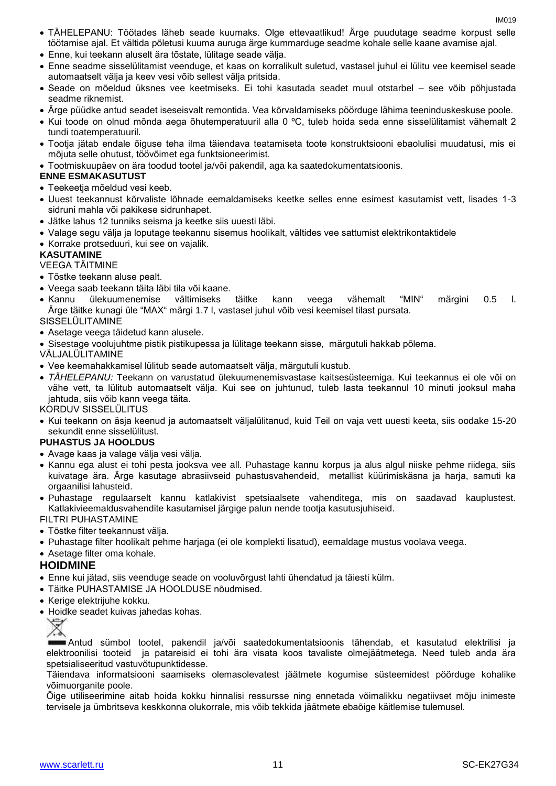- TÄHELEPANU: Töötades läheb seade kuumaks. Olge ettevaatlikud! Ärge puudutage seadme korpust selle töötamise ajal. Et vältida põletusi kuuma auruga ärge kummarduge seadme kohale selle kaane avamise ajal.
- Enne, kui teekann aluselt ära tõstate, lülitage seade välja.
- Enne seadme sisselülitamist veenduge, et kaas on korralikult suletud, vastasel juhul ei lülitu vee keemisel seade automaatselt välja ja keev vesi võib sellest välja pritsida.
- Seade on mõeldud üksnes vee keetmiseks. Ei tohi kasutada seadet muul otstarbel see võib põhjustada seadme riknemist.
- Ärge püüdke antud seadet iseseisvalt remontida. Vea kõrvaldamiseks pöörduge lähima teeninduskeskuse poole.
- Kui toode on olnud mõnda aega õhutemperatuuril alla 0 ºC, tuleb hoida seda enne sisselülitamist vähemalt 2 tundi toatemperatuuril.
- Tootja jätab endale õiguse teha ilma täiendava teatamiseta toote konstruktsiooni ebaolulisi muudatusi, mis ei mõjuta selle ohutust, töövõimet ega funktsioneerimist.
- Tootmiskuupäev on ära toodud tootel ja/või pakendil, aga ka saatedokumentatsioonis.

#### **ENNE ESMAKASUTUST**

- Teekeetja mõeldud vesi keeb.
- Uuest teekannust kõrvaliste lõhnade eemaldamiseks keetke selles enne esimest kasutamist vett, lisades 1-3 sidruni mahla või pakikese sidrunhapet.
- Jätke lahus 12 tunniks seisma ja keetke siis uuesti läbi.
- Valage segu välja ja loputage teekannu sisemus hoolikalt, vältides vee sattumist elektrikontaktidele
- Korrake protseduuri, kui see on vajalik.

#### **KASUTAMINE**

VEEGA TÄITMINE

- Tõstke teekann aluse pealt.
- Veega saab teekann täita läbi tila või kaane.
- Kannu ülekuumenemise vältimiseks täitke kann veega vähemalt "MIN" märgini 0.5 l. Ärge täitke kunagi üle "MAX" märgi 1.7 l, vastasel juhul võib vesi keemisel tilast pursata.

#### SISSELÜLITAMINE

- Asetage veega täidetud kann alusele.
- Sisestage voolujuhtme pistik pistikupessa ja lülitage teekann sisse, märgutuli hakkab põlema.
- VÄLJALÜLITAMINE
- Vee keemahakkamisel lülitub seade automaatselt välja, märgutuli kustub.
- *TÄHELEPANU:* Teekann on varustatud ülekuumenemisvastase kaitsesüsteemiga. Kui teekannus ei ole või on vähe vett, ta lülitub automaatselt välja. Kui see on juhtunud, tuleb lasta teekannul 10 minuti jooksul maha jahtuda, siis võib kann veega täita.

KORDUV SISSELÜLITUS

 Kui teekann on äsja keenud ja automaatselt väljalülitanud, kuid Teil on vaja vett uuesti keeta, siis oodake 15-20 sekundit enne sisselülitust.

#### **PUHASTUS JA HOOLDUS**

- Avage kaas ja valage välja vesi välja.
- Kannu ega alust ei tohi pesta jooksva vee all. Puhastage kannu korpus ja alus algul niiske pehme riidega, siis kuivatage ära. Ärge kasutage abrasiivseid puhastusvahendeid, metallist küürimiskäsna ja harja, samuti ka orgaanilisi lahusteid.
- Puhastage regulaarselt kannu katlakivist spetsiaalsete vahenditega, mis on saadavad kauplustest. Katlakivieemaldusvahendite kasutamisel järgige palun nende tootja kasutusjuhiseid.

FILTRI PUHASTAMINE

- Tõstke filter teekannust välja.
- Puhastage filter hoolikalt pehme harjaga (ei ole komplekti lisatud), eemaldage mustus voolava veega.
- Asetage filter oma kohale.

#### **HOIDMINE**

- Enne kui jätad, siis veenduge seade on vooluvõrgust lahti ühendatud ja täiesti külm.
- Täitke PUHASTAMISE JA HOOLDUSE nõudmised.
- Kerige elektrijuhe kokku.
- Hoidke seadet kuivas jahedas kohas.



Antud sümbol tootel, pakendil ja/või saatedokumentatsioonis tähendab, et kasutatud elektrilisi ja elektroonilisi tooteid ja patareisid ei tohi ära visata koos tavaliste olmejäätmetega. Need tuleb anda ära spetsialiseeritud vastuvõtupunktidesse.

Täiendava informatsiooni saamiseks olemasolevatest jäätmete kogumise süsteemidest pöörduge kohalike võimuorganite poole.

Õige utiliseerimine aitab hoida kokku hinnalisi ressursse ning ennetada võimalikku negatiivset mõju inimeste tervisele ja ümbritseva keskkonna olukorrale, mis võib tekkida jäätmete ebaõige käitlemise tulemusel.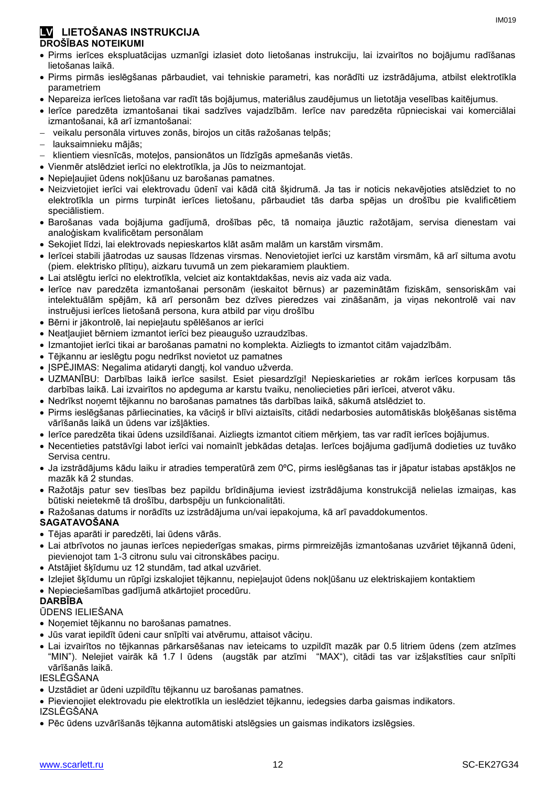#### **LV LIETOŠANAS INSTRUKCIJA DROŠĪBAS NOTEIKUMI**

- Pirms ierīces ekspluatācijas uzmanīgi izlasiet doto lietošanas instrukciju, lai izvairītos no bojājumu radīšanas lietošanas laikā.
- Pirms pirmās ieslēgšanas pārbaudiet, vai tehniskie parametri, kas norādīti uz izstrādājuma, atbilst elektrotīkla parametriem
- Nepareiza ierīces lietošana var radīt tās bojājumus, materiālus zaudējumus un lietotāja veselības kaitējumus.
- Ierīce paredzēta izmantošanai tikai sadzīves vajadzībām. Ierīce nav paredzēta rūpnieciskai vai komerciālai izmantošanai, kā arī izmantošanai:
- veikalu personāla virtuves zonās, birojos un citās ražošanas telpās;
- lauksaimnieku mājās;
- klientiem viesnīcās, moteļos, pansionātos un līdzīgās apmešanās vietās.
- Vienmēr atslēdziet ierīci no elektrotīkla, ja Jūs to neizmantojat.
- Nepieļaujiet ūdens nokļūšanu uz barošanas pamatnes.
- Neizvietojiet ierīci vai elektrovadu ūdenī vai kādā citā šķidrumā. Ja tas ir noticis nekavējoties atslēdziet to no elektrotīkla un pirms turpināt ierīces lietošanu, pārbaudiet tās darba spējas un drošību pie kvalificētiem speciālistiem.
- Barošanas vada bojājuma gadījumā, drošības pēc, tā nomaiņa jāuztic ražotājam, servisa dienestam vai analoģiskam kvalificētam personālam
- Sekojiet līdzi, lai elektrovads nepieskartos klāt asām malām un karstām virsmām.
- Ierīcei stabili jāatrodas uz sausas līdzenas virsmas. Nenovietojiet ierīci uz karstām virsmām, kā arī siltuma avotu (piem. elektrisko plītiņu), aizkaru tuvumā un zem piekaramiem plauktiem.
- Lai atslēgtu ierīci no elektrotīkla, velciet aiz kontaktdakšas, nevis aiz vada aiz vada.
- Ierīce nav paredzēta izmantošanai personām (ieskaitot bērnus) ar pazeminātām fiziskām, sensoriskām vai intelektuālām spējām, kā arī personām bez dzīves pieredzes vai zināšanām, ja viņas nekontrolē vai nav instruējusi ierīces lietošanā persona, kura atbild par viņu drošību
- Bērni ir jākontrolē, lai nepieļautu spēlēšanos ar ierīci
- Neatļaujiet bērniem izmantot ierīci bez pieaugušo uzraudzības.
- Izmantojiet ierīci tikai ar barošanas pamatni no komplekta. Aizliegts to izmantot citām vajadzībām.
- Tējkannu ar ieslēgtu pogu nedrīkst novietot uz pamatnes
- ĮSPĖJIMAS: Negalima atidaryti dangtį, kol vanduo užverda.
- UZMANĪBU: Darbības laikā ierīce sasilst. Esiet piesardzīgi! Nepieskarieties ar rokām ierīces korpusam tās darbības laikā. Lai izvairītos no apdeguma ar karstu tvaiku, nenoliecieties pāri ierīcei, atverot vāku.
- Nedrīkst noņemt tējkannu no barošanas pamatnes tās darbības laikā, sākumā atslēdziet to.
- Pirms ieslēgšanas pārliecinaties, ka vāciņš ir blīvi aiztaisīts, citādi nedarbosies automātiskās bloķēšanas sistēma vārīšanās laikā un ūdens var izšļākties.
- Ierīce paredzēta tikai ūdens uzsildīšanai. Aizliegts izmantot citiem mērķiem, tas var radīt ierīces bojājumus.
- Necentieties patstāvīgi labot ierīci vai nomainīt jebkādas detaļas. Ierīces bojājuma gadījumā dodieties uz tuvāko Servisa centru.
- Ja izstrādājums kādu laiku ir atradies temperatūrā zem 0ºC, pirms ieslēgšanas tas ir jāpatur istabas apstākļos ne mazāk kā 2 stundas.
- Ražotājs patur sev tiesības bez papildu brīdinājuma ieviest izstrādājuma konstrukcijā nelielas izmaiņas, kas būtiski neietekmē tā drošību, darbspēju un funkcionalitāti.
- Ražošanas datums ir norādīts uz izstrādājuma un/vai iepakojuma, kā arī pavaddokumentos.
- **SAGATAVOŠANA**
- Tējas aparāti ir paredzēti, lai ūdens vārās.
- Lai atbrīvotos no jaunas ierīces nepiederīgas smakas, pirms pirmreizējās izmantošanas uzvāriet tējkannā ūdeni, pievienojot tam 1-3 citronu sulu vai citronskābes paciņu.
- Atstājiet šķīdumu uz 12 stundām, tad atkal uzvāriet.
- Izlejiet šķīdumu un rūpīgi izskalojiet tējkannu, nepieļaujot ūdens nokļūšanu uz elektriskajiem kontaktiem
- Nepieciešamības gadījumā atkārtojiet procedūru.

#### **DARBĪBA**

#### ŪDENS IELIEŠANA

- Noņemiet tējkannu no barošanas pamatnes.
- Jūs varat iepildīt ūdeni caur snīpīti vai atvērumu, attaisot vāciņu.
- Lai izvairītos no tējkannas pārkarsēšanas nav ieteicams to uzpildīt mazāk par 0.5 litriem ūdens (zem atzīmes "MIN"). Nelejiet vairāk kā 1.7 l ūdens (augstāk par atzīmi "MAX"), citādi tas var izšļakstīties caur snīpīti vārīšanās laikā.

#### IESLĒGŠANA

Uzstādiet ar ūdeni uzpildītu tējkannu uz barošanas pamatnes.

 Pievienojiet elektrovadu pie elektrotīkla un ieslēdziet tējkannu, iedegsies darba gaismas indikators. IZSLĒGŠANA

Pēc ūdens uzvārīšanās tējkanna automātiski atslēgsies un gaismas indikators izslēgsies.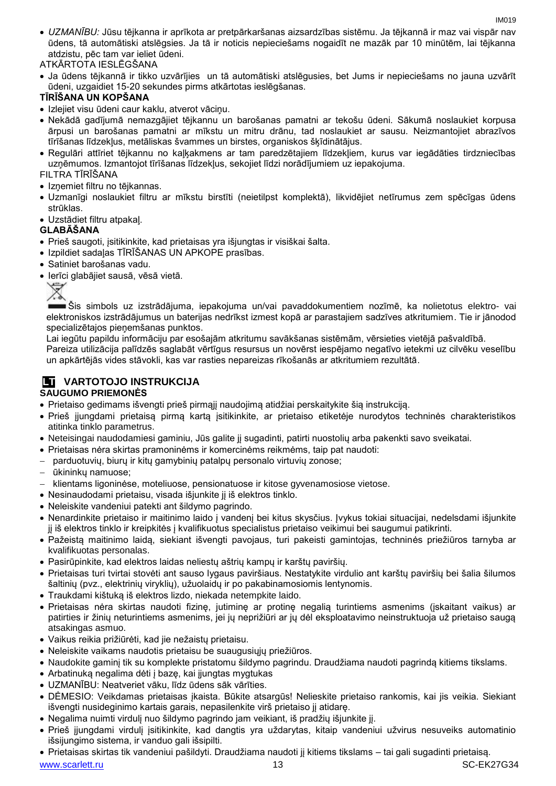- *UZMANĪBU:* Jūsu tējkanna ir aprīkota ar pretpārkaršanas aizsardzības sistēmu. Ja tējkannā ir maz vai vispār nav ūdens, tā automātiski atslēgsies. Ja tā ir noticis nepieciešams nogaidīt ne mazāk par 10 minūtēm, lai tējkanna atdzistu, pēc tam var ieliet ūdeni.
- ATKĀRTOTA IESLĒGŠANA
- Ja ūdens tējkannā ir tikko uzvārījies un tā automātiski atslēgusies, bet Jums ir nepieciešams no jauna uzvārīt ūdeni, uzgaidiet 15-20 sekundes pirms atkārtotas ieslēgšanas.

#### **TĪRĪŠANA UN KOPŠANA**

- Izlejiet visu ūdeni caur kaklu, atverot vāciņu.
- Nekādā gadījumā nemazgājiet tējkannu un barošanas pamatni ar tekošu ūdeni. Sākumā noslaukiet korpusa ārpusi un barošanas pamatni ar mīkstu un mitru drānu, tad noslaukiet ar sausu. Neizmantojiet abrazīvos tīrīšanas līdzekļus, metāliskas švammes un birstes, organiskos šķīdinātājus.
- Regulāri attīriet tējkannu no kaļķakmens ar tam paredzētajiem līdzekļiem, kurus var iegādāties tirdzniecības uzņēmumos. Izmantojot tīrīšanas līdzekļus, sekojiet līdzi norādījumiem uz iepakojuma.

FILTRA TĪRĪŠANA

- Iznemiet filtru no tējkannas.
- Uzmanīgi noslaukiet filtru ar mīkstu birstīti (neietilpst komplektā), likvidējiet netīrumus zem spēcīgas ūdens strūklas.
- Uzstādiet filtru atpakaļ.

#### **GLABĀŠANA**

- Prieš saugoti, įsitikinkite, kad prietaisas yra išjungtas ir visiškai šalta.
- Izpildiet sadaļas TĪRĪŠANAS UN APKOPE prasības.
- Satiniet barošanas vadu.
- Ierīci glabājiet sausā, vēsā vietā.



Šis simbols uz izstrādājuma, iepakojuma un/vai pavaddokumentiem nozīmē, ka nolietotus elektro- vai elektroniskos izstrādājumus un baterijas nedrīkst izmest kopā ar parastajiem sadzīves atkritumiem. Tie ir jānodod specializētajos pieņemšanas punktos.

Lai iegūtu papildu informāciju par esošajām atkritumu savākšanas sistēmām, vērsieties vietējā pašvaldībā.

Pareiza utilizācija palīdzēs saglabāt vērtīgus resursus un novērst iespējamo negatīvo ietekmi uz cilvēku veselību un apkārtējās vides stāvokli, kas var rasties nepareizas rīkošanās ar atkritumiem rezultātā.

## **LT VARTOTOJO INSTRUKCIJA**

#### **SAUGUMO PRIEMONĖS**

- Prietaiso gedimams išvengti prieš pirmąjį naudojimą atidžiai perskaitykite šią instrukciją.
- Prieš įjungdami prietaisą pirmą kartą įsitikinkite, ar prietaiso etiketėje nurodytos techninės charakteristikos atitinka tinklo parametrus.
- Neteisingai naudodamiesi gaminiu, Jūs galite jį sugadinti, patirti nuostolių arba pakenkti savo sveikatai.
- Prietaisas nėra skirtas pramoninėms ir komercinėms reikmėms, taip pat naudoti:
- parduotuvių, biurų ir kitų gamybinių patalpų personalo virtuvių zonose;
- ūkininkų namuose;
- klientams ligoninėse, moteliuose, pensionatuose ir kitose gyvenamosiose vietose.
- Nesinaudodami prietaisu, visada išjunkite jį iš elektros tinklo.
- Neleiskite vandeniui patekti ant šildymo pagrindo.
- Nenardinkite prietaiso ir maitinimo laido į vandenį bei kitus skysčius. Įvykus tokiai situacijai, nedelsdami išjunkite jį iš elektros tinklo ir kreipkitės į kvalifikuotus specialistus prietaiso veikimui bei saugumui patikrinti.
- Pažeistą maitinimo laidą, siekiant išvengti pavojaus, turi pakeisti gamintojas, techninės priežiūros tarnyba ar kvalifikuotas personalas.
- Pasirūpinkite, kad elektros laidas neliestų aštrių kampų ir karštų paviršių.
- Prietaisas turi tvirtai stovėti ant sauso lygaus paviršiaus. Nestatykite virdulio ant karštų paviršių bei šalia šilumos šaltinių (pvz., elektrinių viryklių), užuolaidų ir po pakabinamosiomis lentynomis.
- Traukdami kištuką iš elektros lizdo, niekada netempkite laido.
- Prietaisas nėra skirtas naudoti fizinę, jutiminę ar protinę negalią turintiems asmenims (įskaitant vaikus) ar patirties ir žinių neturintiems asmenims, jei jų neprižiūri ar jų dėl eksploatavimo neinstruktuoja už prietaiso saugą atsakingas asmuo.
- Vaikus reikia prižiūrėti, kad jie nežaistų prietaisu.
- Neleiskite vaikams naudotis prietaisu be suaugusiųjų priežiūros.
- Naudokite gaminį tik su komplekte pristatomu šildymo pagrindu. Draudžiama naudoti pagrindą kitiems tikslams.
- Arbatinuką negalima dėti į bazę, kai įjungtas mygtukas
- UZMANĪBU: Neatveriet vāku, līdz ūdens sāk vārīties.
- DĖMESIO: Veikdamas prietaisas įkaista. Būkite atsargūs! Nelieskite prietaiso rankomis, kai jis veikia. Siekiant išvengti nusideginimo kartais garais, nepasilenkite virš prietaiso jį atidarę.
- Negalima nuimti virdulį nuo šildymo pagrindo jam veikiant, iš pradžių išjunkite jį.
- Prieš įjungdami virdulį įsitikinkite, kad dangtis yra uždarytas, kitaip vandeniui užvirus nesuveiks automatinio išsijungimo sistema, ir vanduo gali išsipilti.
- Prietaisas skirtas tik vandeniui pašildyti. Draudžiama naudoti jį kitiems tikslams tai gali sugadinti prietaisą.

www.scarlett.ru 13 November 2014 13 November 2014 13 November 2014 13 November 2014 13 November 2014 13 November 2014 13 November 2014 13 November 2014 13 November 2014 13 November 2014 13 November 2014 13 November 2014 13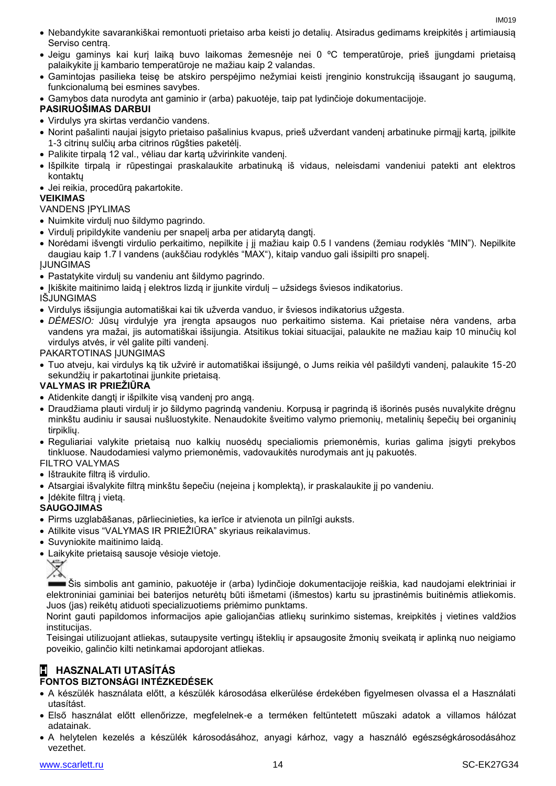- Nebandykite savarankiškai remontuoti prietaiso arba keisti jo detalių. Atsiradus gedimams kreipkitės į artimiausią Serviso centrą.
- Jeigu gaminys kai kurį laiką buvo laikomas žemesnėje nei 0 ºC temperatūroje, prieš įjungdami prietaisą palaikykite jį kambario temperatūroje ne mažiau kaip 2 valandas.
- Gamintojas pasilieka teisę be atskiro perspėjimo nežymiai keisti įrenginio konstrukciją išsaugant jo saugumą, funkcionalumą bei esmines savybes.
- Gamybos data nurodyta ant gaminio ir (arba) pakuotėje, taip pat lydinčioje dokumentacijoje.

#### **PASIRUOŠIMAS DARBUI**

- Virdulys yra skirtas verdančio vandens.
- Norint pašalinti naujai įsigyto prietaiso pašalinius kvapus, prieš užverdant vandenį arbatinuke pirmąjį kartą, įpilkite 1-3 citrinų sulčių arba citrinos rūgšties paketėlį.
- Palikite tirpalą 12 val., vėliau dar kartą užvirinkite vandenį.
- Išpilkite tirpalą ir rūpestingai praskalaukite arbatinuką iš vidaus, neleisdami vandeniui patekti ant elektros kontaktų
- Jei reikia, procedūrą pakartokite.

#### **VEIKIMAS**

#### VANDENS ĮPYLIMAS

- Nuimkite virdulį nuo šildymo pagrindo.
- Virdulį pripildykite vandeniu per snapelį arba per atidarytą dangtį.
- Norėdami išvengti virdulio perkaitimo, nepilkite į jį mažiau kaip 0.5 l vandens (žemiau rodyklės "MIN"). Nepilkite daugiau kaip 1.7 l vandens (aukščiau rodyklės "MAX"), kitaip vanduo gali išsipilti pro snapelį. ĮJUNGIMAS
- Pastatykite virdulį su vandeniu ant šildymo pagrindo.
- Įkiškite maitinimo laidą į elektros lizdą ir įjunkite virdulį užsidegs šviesos indikatorius.

#### IŠJUNGIMAS

- Virdulys išsijungia automatiškai kai tik užverda vanduo, ir šviesos indikatorius užgesta.
- *DĖMESIO:* Jūsų virdulyje yra įrengta apsaugos nuo perkaitimo sistema. Kai prietaise nėra vandens, arba vandens yra mažai, jis automatiškai išsijungia. Atsitikus tokiai situacijai, palaukite ne mažiau kaip 10 minučių kol virdulys atvės, ir vėl galite pilti vandenį.

#### PAKARTOTINAS IJUNGIMAS

 Tuo atveju, kai virdulys ką tik užvirė ir automatiškai išsijungė, o Jums reikia vėl pašildyti vandenį, palaukite 15-20 sekundžių ir pakartotinai įjunkite prietaisą.

#### **VALYMAS IR PRIEŽIŪRA**

- Atidenkite dangtį ir išpilkite visą vandenį pro angą.
- Draudžiama plauti virdulį ir jo šildymo pagrindą vandeniu. Korpusą ir pagrindą iš išorinės pusės nuvalykite drėgnu minkštu audiniu ir sausai nušluostykite. Nenaudokite šveitimo valymo priemonių, metalinių šepečių bei organinių tirpiklių.
- Reguliariai valykite prietaisą nuo kalkių nuosėdų specialiomis priemonėmis, kurias galima įsigyti prekybos tinkluose. Naudodamiesi valymo priemonėmis, vadovaukitės nurodymais ant jų pakuotės.
- FILTRO VALYMAS
- Ištraukite filtrą iš virdulio.
- Atsargiai išvalykite filtrą minkštu šepečiu (neįeina į komplektą), ir praskalaukite jį po vandeniu.
- Idėkite filtra į vietą.

#### **SAUGOJIMAS**

- Pirms uzglabāšanas, pārliecinieties, ka ierīce ir atvienota un pilnīgi auksts.
- Atilkite visus "VALYMAS IR PRIEŽIŪRA" skyriaus reikalavimus.
- Suvyniokite maitinimo laidą.
- Laikykite prietaisą sausoje vėsioje vietoje.

Šis simbolis ant gaminio, pakuotėje ir (arba) lydinčioje dokumentacijoje reiškia, kad naudojami elektriniai ir elektroniniai gaminiai bei baterijos neturėtų būti išmetami (išmestos) kartu su įprastinėmis buitinėmis atliekomis. Juos (jas) reikėtų atiduoti specializuotiems priėmimo punktams.

Norint gauti papildomos informacijos apie galiojančias atliekų surinkimo sistemas, kreipkitės į vietines valdžios institucijas.

Teisingai utilizuojant atliekas, sutaupysite vertingų išteklių ir apsaugosite žmonių sveikatą ir aplinką nuo neigiamo poveikio, galinčio kilti netinkamai apdorojant atliekas.

# **H HASZNALATI UTASÍTÁS**

### **FONTOS BIZTONSÁGI INTÉZKEDÉSEK**

- A készülék használata előtt, a készülék károsodása elkerülése érdekében figyelmesen olvassa el a Használati utasítást.
- Első használat előtt ellenőrizze, megfelelnek-e a terméken feltüntetett műszaki adatok a villamos hálózat adatainak.
- A helytelen kezelés a készülék károsodásához, anyagi kárhoz, vagy a használó egészségkárosodásához vezethet.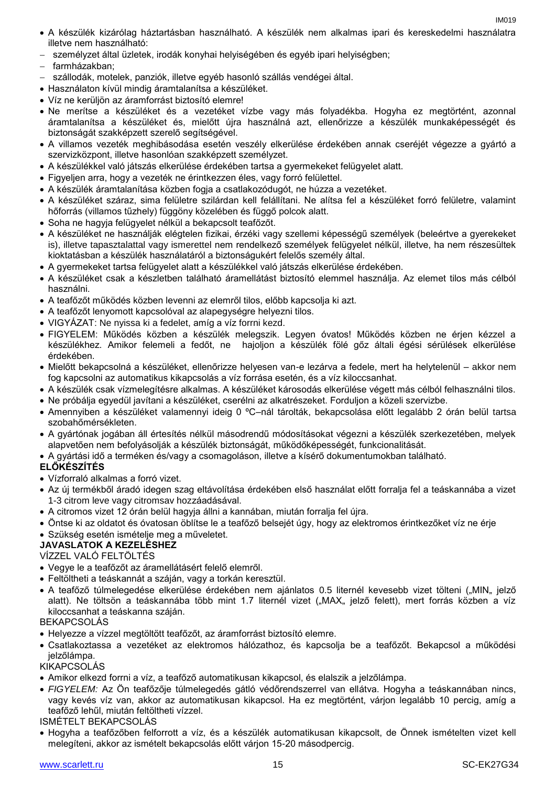- A készülék kizárólag háztartásban használható. A készülék nem alkalmas ipari és kereskedelmi használatra illetve nem használható:
- személyzet által üzletek, irodák konyhai helyiségében és egyéb ipari helyiségben;
- farmházakban;
- szállodák, motelek, panziók, illetve egyéb hasonló szállás vendégei által.
- Használaton kívül mindig áramtalanítsa a készüléket.
- Víz ne kerüljön az áramforrást biztosító elemre!
- Ne merítse a készüléket és a vezetéket vízbe vagy más folyadékba. Hogyha ez megtörtént, azonnal áramtalanítsa a készüléket és, mielőtt újra használná azt, ellenőrizze a készülék munkaképességét és biztonságát szakképzett szerelő segítségével.
- A villamos vezeték meghibásodása esetén veszély elkerülése érdekében annak cseréjét végezze a gyártó a szervizközpont, illetve hasonlóan szakképzett személyzet.
- A készülékkel való játszás elkerülése érdekében tartsa a gyermekeket felügyelet alatt.
- Figyeljen arra, hogy a vezeték ne érintkezzen éles, vagy forró felülettel.
- A készülék áramtalanítása közben fogja a csatlakozódugót, ne húzza a vezetéket.
- A készüléket száraz, sima felületre szilárdan kell felállítani. Ne alítsa fel a készüléket forró felületre, valamint hőforrás (villamos tűzhely) függöny közelében és függő polcok alatt.
- Soha ne hagyja felügyelet nélkül a bekapcsolt teafőzőt.
- A készüléket ne használják elégtelen fizikai, érzéki vagy szellemi képességű személyek (beleértve a gyerekeket is), illetve tapasztalattal vagy ismerettel nem rendelkező személyek felügyelet nélkül, illetve, ha nem részesültek kioktatásban a készülék használatáról a biztonságukért felelős személy által.
- A gyermekeket tartsa felügyelet alatt a készülékkel való játszás elkerülése érdekében.
- A készüléket csak a készletben található áramellátást biztosító elemmel használja. Az elemet tilos más célból használni.
- A teafőzőt működés közben levenni az elemről tilos, előbb kapcsolja ki azt.
- A teafőzőt lenyomott kapcsolóval az alapegységre helyezni tilos.
- VIGYÁZAT: Ne nyissa ki a fedelet, amíg a víz forrni kezd.
- FIGYELEM: Működés közben a készülék melegszik. Legyen óvatos! Működés közben ne érjen kézzel a készülékhez. Amikor felemeli a fedőt, ne hajoljon a készülék fölé gőz általi égési sérülések elkerülése érdekében.
- Mielőtt bekapcsolná a készüléket, ellenőrizze helyesen van-e lezárva a fedele, mert ha helytelenül akkor nem fog kapcsolni az automatikus kikapcsolás a víz forrása esetén, és a víz kiloccsanhat.
- A készülék csak vízmelegítésre alkalmas. A készüléket károsodás elkerülése végett más célból felhasználni tilos.
- Ne próbálja egyedül javítani a készüléket, cserélni az alkatrészeket. Forduljon a közeli szervizbe.
- Amennyiben a készüléket valamennyi ideig 0 ºC–nál tárolták, bekapcsolása előtt legalább 2 órán belül tartsa szobahőmérsékleten.
- A gyártónak jogában áll értesítés nélkül másodrendű módosításokat végezni a készülék szerkezetében, melyek alapvetően nem befolyásolják a készülék biztonságát, működőképességét, funkcionalitását.
- A gyártási idő a terméken és/vagy a csomagoláson, illetve a kísérő dokumentumokban található.

#### **ELŐKÉSZÍTÉS**

- Vízforraló alkalmas a forró vizet.
- Az új termékből áradó idegen szag eltávolítása érdekében első használat előtt forralja fel a teáskannába a vizet 1-3 citrom leve vagy citromsav hozzáadásával.
- A citromos vizet 12 órán belül hagyja állni a kannában, miután forralja fel újra.
- Öntse ki az oldatot és óvatosan öblítse le a teafőző belsejét úgy, hogy az elektromos érintkezőket víz ne érje
- Szükség esetén ismételje meg a műveletet.

#### **JAVASLATOK A KEZELÉSHEZ**

VÍZZEL VALÓ FELTÖLTÉS

- Vegye le a teafőzőt az áramellátásért felelő elemről.
- Feltöltheti a teáskannát a száján, vagy a torkán keresztül.
- A teafőző túlmelegedése elkerülése érdekében nem ajánlatos 0.5 liternél kevesebb vizet tölteni ("MIN" jelző alatt). Ne töltsön a teáskannába több mint 1.7 liternél vizet ("MAX" jelző felett), mert forrás közben a víz kiloccsanhat a teáskanna száján.

**BEKAPCSOLAS** 

- Helyezze a vízzel megtöltött teafőzőt, az áramforrást biztosító elemre.
- Csatlakoztassa a vezetéket az elektromos hálózathoz, és kapcsolja be a teafőzőt. Bekapcsol a működési jelzőlámpa.

#### KIKAPCSOLÁS

- Amikor elkezd forrni a víz, a teafőző automatikusan kikapcsol, és elalszik a jelzőlámpa.
- *FIGYELEM:* Az Ön teafőzője túlmelegedés gátló védőrendszerrel van ellátva. Hogyha a teáskannában nincs, vagy kevés víz van, akkor az automatikusan kikapcsol. Ha ez megtörtént, várjon legalább 10 percig, amíg a teafőző lehűl, miután feltöltheti vízzel.

ISMÉTELT BEKAPCSOLÁS

 Hogyha a teafőzőben felforrott a víz, és a készülék automatikusan kikapcsolt, de Önnek ismételten vizet kell melegíteni, akkor az ismételt bekapcsolás előtt várjon 15-20 másodpercig.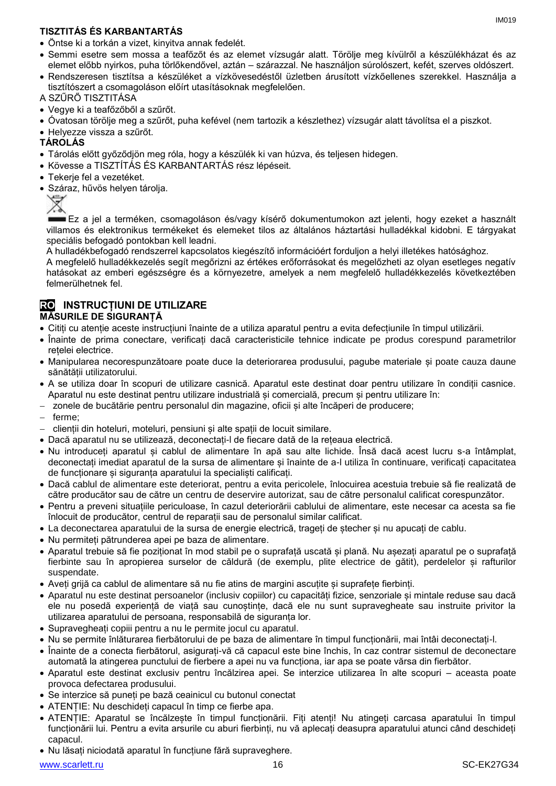### **TISZTITÁS ÉS KARBANTARTÁS**

- Semmi esetre sem mossa a teafőzőt és az elemet vízsugár alatt. Törölje meg kívülről a készülékházat és az elemet előbb nyirkos, puha törlőkendővel, aztán – szárazzal. Ne használjon súrolószert, kefét, szerves oldószert.
- Rendszeresen tisztítsa a készüléket a vízkövesedéstől üzletben árusított vízkőellenes szerekkel. Használja a tisztítószert a csomagoláson előírt utasításoknak megfelelően.
- A SZŰRŐ TISZTITÁSA
- Vegye ki a teafőzőből a szűrőt.
- Óvatosan törölje meg a szűrőt, puha kefével (nem tartozik a készlethez) vízsugár alatt távolítsa el a piszkot.
- Helyezze vissza a szűrőt.
- **TÁROLÁS**
- Tárolás előtt győződjön meg róla, hogy a készülék ki van húzva, és teljesen hidegen.
- Kövesse a TISZTÍTÁS ÉS KARBANTARTÁS rész lépéseit.
- Tekerje fel a vezetéket.
- Száraz, hűvös helyen tárolja.



Ez a jel a terméken, csomagoláson és/vagy kísérő dokumentumokon azt jelenti, hogy ezeket a használt villamos és elektronikus termékeket és elemeket tilos az általános háztartási hulladékkal kidobni. E tárgyakat speciális befogadó pontokban kell leadni.

A hulladékbefogadó rendszerrel kapcsolatos kiegészítő információért forduljon a helyi illetékes hatósághoz.

A megfelelő hulladékkezelés segít megőrizni az értékes erőforrásokat és megelőzheti az olyan esetleges negatív hatásokat az emberi egészségre és a környezetre, amelyek a nem megfelelő hulladékkezelés következtében felmerülhetnek fel.

#### **RO INSTRUCȚIUNI DE UTILIZARE MĂSURILE DE SIGURANȚĂ**

- Citiți cu atenție aceste instrucțiuni înainte de a utiliza aparatul pentru a evita defecțiunile în timpul utilizării.
- Înainte de prima conectare, verificați dacă caracteristicile tehnice indicate pe produs corespund parametrilor rețelei electrice.
- Manipularea necorespunzătoare poate duce la deteriorarea produsului, pagube materiale și poate cauza daune sănătății utilizatorului.
- A se utiliza doar în scopuri de utilizare casnică. Aparatul este destinat doar pentru utilizare în condiții casnice. Aparatul nu este destinat pentru utilizare industrială și comercială, precum și pentru utilizare în:
- zonele de bucătărie pentru personalul din magazine, oficii și alte încăperi de producere;
- ferme;
- clienții din hoteluri, moteluri, pensiuni și alte spații de locuit similare.
- Dacă aparatul nu se utilizează, deconectați-l de fiecare dată de la rețeaua electrică.
- Nu introduceți aparatul și cablul de alimentare în apă sau alte lichide. Însă dacă acest lucru s-a întâmplat, deconectați imediat aparatul de la sursa de alimentare și înainte de a-l utiliza în continuare, verificați capacitatea de funcționare și siguranța aparatului la specialiști calificați.
- Dacă cablul de alimentare este deteriorat, pentru a evita pericolele, înlocuirea acestuia trebuie să fie realizată de către producător sau de către un centru de deservire autorizat, sau de către personalul calificat corespunzător.
- Pentru a preveni situațiile periculoase, în cazul deteriorării cablului de alimentare, este necesar ca acesta sa fie înlocuit de producător, centrul de reparații sau de personalul similar calificat.
- La deconectarea aparatului de la sursa de energie electrică, trageți de ștecher și nu apucați de cablu.
- Nu permiteți pătrunderea apei pe baza de alimentare.
- Aparatul trebuie să fie poziționat în mod stabil pe o suprafață uscată și plană. Nu așezați aparatul pe o suprafață fierbinte sau în apropierea surselor de căldură (de exemplu, plite electrice de gătit), perdelelor și rafturilor suspendate.
- Aveți grijă ca cablul de alimentare să nu fie atins de margini ascuțite și suprafețe fierbinți.
- Aparatul nu este destinat persoanelor (inclusiv copiilor) cu capacități fizice, senzoriale și mintale reduse sau dacă ele nu posedă experiență de viață sau cunoștințe, dacă ele nu sunt supravegheate sau instruite privitor la utilizarea aparatului de persoana, responsabilă de siguranța lor.
- Supravegheați copiii pentru a nu le permite jocul cu aparatul.
- Nu se permite înlăturarea fierbătorului de pe baza de alimentare în timpul funcționării, mai întâi deconectați-l.
- Înainte de a conecta fierbătorul, asigurați-vă că capacul este bine închis, în caz contrar sistemul de deconectare automată la atingerea punctului de fierbere a apei nu va funcționa, iar apa se poate vărsa din fierbător.
- Aparatul este destinat exclusiv pentru încălzirea apei. Se interzice utilizarea în alte scopuri aceasta poate provoca defectarea produsului.
- Se interzice să puneți pe bază ceainicul cu butonul conectat
- ATENȚIE: Nu deschideți capacul în timp ce fierbe apa.
- ATENȚIE: Aparatul se încălzește în timpul funcționării. Fiți atenți! Nu atingeți carcasa aparatului în timpul funcționării lui. Pentru a evita arsurile cu aburi fierbinți, nu vă aplecați deasupra aparatului atunci când deschideți capacul.
- Nu lăsați niciodată aparatul în funcțiune fără supraveghere.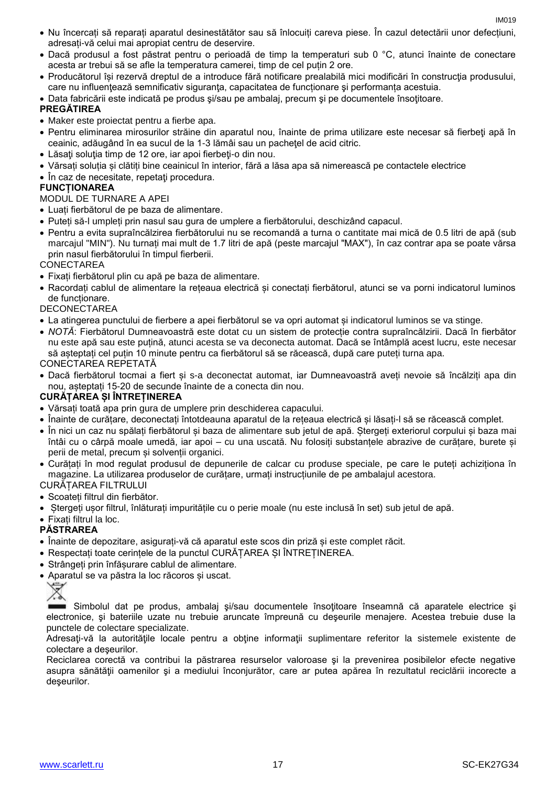- Nu încercați să reparați aparatul desinestătător sau să înlocuiți careva piese. În cazul detectării unor defecțiuni, adresați-vă celui mai apropiat centru de deservire.
- Dacă produsul a fost păstrat pentru o perioadă de timp la temperaturi sub 0 °C, atunci înainte de conectare acesta ar trebui să se afle la temperatura camerei, timp de cel puțin 2 ore.
- Producătorul își rezervă dreptul de a introduce fără notificare prealabilă mici modificări în construcţia produsului, care nu influențează semnificativ siguranța, capacitatea de funcționare și performanța acestuia.
- Data fabricării este indicată pe produs si/sau pe ambalaj, precum și pe documentele însoțitoare.

#### **PREGĂTIREA**

- Maker este proiectat pentru a fierbe apa.
- Pentru eliminarea mirosurilor străine din aparatul nou, înainte de prima utilizare este necesar să fierbeţi apă în ceainic, adăugând în ea sucul de la 1-3 lămâi sau un pachetel de acid citric.
- Lăsati solutia timp de 12 ore, iar apoi fierbeți-o din nou.
- Vărsați soluția și clătiți bine ceainicul în interior, fără a lăsa apa să nimerească pe contactele electrice
- În caz de necesitate, repetați procedura.

#### **FUNCȚIONAREA**

#### MODUL DE TURNARE A APEI

- Luați fierbătorul de pe baza de alimentare.
- Puteți să-l umpleți prin nasul sau gura de umplere a fierbătorului, deschizând capacul.
- Pentru a evita supraîncălzirea fierbătorului nu se recomandă a turna o cantitate mai mică de 0.5 litri de apă (sub marcajul "MIN"). Nu turnați mai mult de 1.7 litri de apă (peste marcajul "MAX"), în caz contrar apa se poate vărsa prin nasul fierbătorului în timpul fierberii.

#### **CONECTAREA**

- Fixați fierbătorul plin cu apă pe baza de alimentare.
- Racordați cablul de alimentare la rețeaua electrică și conectați fierbătorul, atunci se va porni indicatorul luminos de funcționare.

#### **DECONECTAREA**

- La atingerea punctului de fierbere a apei fierbătorul se va opri automat și indicatorul luminos se va stinge.
- *NOTĂ*: Fierbătorul Dumneavoastră este dotat cu un sistem de protecție contra supraîncălzirii. Dacă în fierbător nu este apă sau este puțină, atunci acesta se va deconecta automat. Dacă se întâmplă acest lucru, este necesar să așteptați cel puțin 10 minute pentru ca fierbătorul să se răcească, după care puteți turna apa.

#### CONECTAREA REPETATĂ

 Dacă fierbătorul tocmai a fiert și s-a deconectat automat, iar Dumneavoastră aveți nevoie să încălziți apa din nou, așteptați 15-20 de secunde înainte de a conecta din nou.

#### **CURĂȚAREA ȘI ÎNTREȚINEREA**

- Vărsați toată apa prin gura de umplere prin deschiderea capacului.
- Înainte de curățare, deconectați întotdeauna aparatul de la rețeaua electrică și lăsați-l să se răcească complet.
- În nici un caz nu spălați fierbătorul și baza de alimentare sub jetul de apă. Ștergeți exteriorul corpului și baza mai întâi cu o cârpă moale umedă, iar apoi – cu una uscată. Nu folosiți substanțele abrazive de curățare, burete și perii de metal, precum și solvenții organici.
- Curățați în mod regulat produsul de depunerile de calcar cu produse speciale, pe care le puteți achiziționa în magazine. La utilizarea produselor de curățare, urmați instrucțiunile de pe ambalajul acestora.

### CURĂȚAREA FILTRULUI

- Scoateți filtrul din fierbător.
- Ștergeți ușor filtrul, înlăturați impuritățile cu o perie moale (nu este inclusă în set) sub jetul de apă.
- Fixați filtrul la loc.

#### **PĂSTRAREA**

- Înainte de depozitare, asigurați-vă că aparatul este scos din priză și este complet răcit.
- Respectați toate cerințele de la punctul CURĂȚAREA ȘI ÎNTREȚINEREA.
- Strângeți prin înfășurare cablul de alimentare.
- Aparatul se va păstra la loc răcoros și uscat.



Simbolul dat pe produs, ambalaj şi/sau documentele însoţitoare înseamnă că aparatele electrice şi electronice, şi bateriile uzate nu trebuie aruncate împreună cu deşeurile menajere. Acestea trebuie duse la punctele de colectare specializate.

Adresati-vă la autoritățile locale pentru a obține informații suplimentare referitor la sistemele existente de colectare a deşeurilor.

Reciclarea corectă va contribui la păstrarea resurselor valoroase şi la prevenirea posibilelor efecte negative asupra sănătății oamenilor și a mediului înconjurător, care ar putea apărea în rezultatul reciclării incorecte a deseurilor.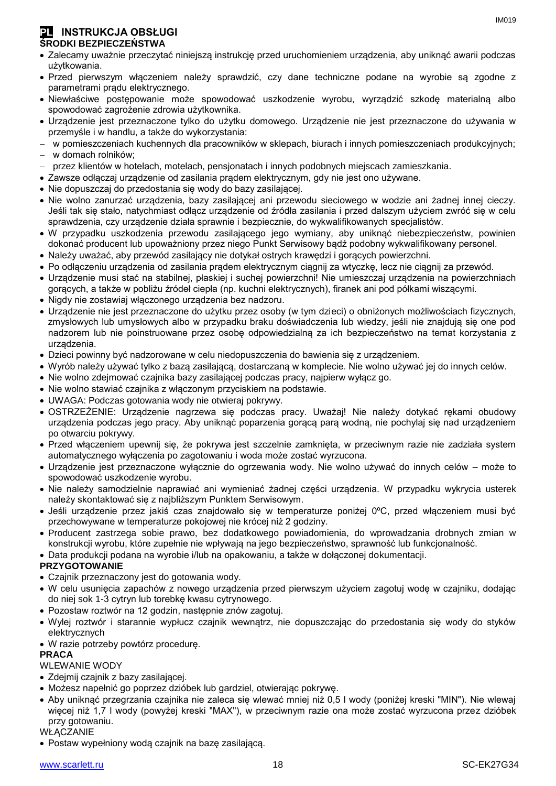#### **PL INSTRUKCJA OBSŁUGI ŚRODKI BEZPIECZEŃSTWA**

- Zalecamy uważnie przeczytać niniejszą instrukcję przed uruchomieniem urządzenia, aby uniknąć awarii podczas użytkowania.
- Przed pierwszym włączeniem należy sprawdzić, czy dane techniczne podane na wyrobie są zgodne z parametrami prądu elektrycznego.
- Niewłaściwe postępowanie może spowodować uszkodzenie wyrobu, wyrządzić szkodę materialną albo spowodować zagrożenie zdrowia użytkownika.
- Urządzenie jest przeznaczone tylko do użytku domowego. Urządzenie nie jest przeznaczone do używania w przemyśle i w handlu, a także do wykorzystania:
- w pomieszczeniach kuchennych dla pracowników w sklepach, biurach i innych pomieszczeniach produkcyjnych;
- w domach rolników;
- przez klientów w hotelach, motelach, pensjonatach i innych podobnych miejscach zamieszkania.
- Zawsze odłączaj urządzenie od zasilania prądem elektrycznym, gdy nie jest ono używane.
- Nie dopuszczaj do przedostania się wody do bazy zasilającej.
- Nie wolno zanurzać urządzenia, bazy zasilającej ani przewodu sieciowego w wodzie ani żadnej innej cieczy. Jeśli tak się stało, natychmiast odłącz urządzenie od źródła zasilania i przed dalszym użyciem zwróć się w celu sprawdzenia, czy urządzenie działa sprawnie i bezpiecznie, do wykwalifikowanych specjalistów.
- W przypadku uszkodzenia przewodu zasilającego jego wymiany, aby uniknąć niebezpieczeństw, powinien dokonać producent lub upoważniony przez niego Punkt Serwisowy bądź podobny wykwalifikowany personel.
- Należy uważać, aby przewód zasilający nie dotykał ostrych krawędzi i gorących powierzchni.
- Po odłączeniu urządzenia od zasilania prądem elektrycznym ciągnij za wtyczkę, lecz nie ciągnij za przewód.
- Urządzenie musi stać na stabilnej, płaskiej i suchej powierzchni! Nie umieszczaj urządzenia na powierzchniach gorących, a także w pobliżu źródeł ciepła (np. kuchni elektrycznych), firanek ani pod półkami wiszącymi.
- Nigdy nie zostawiaj włączonego urządzenia bez nadzoru.
- Urządzenie nie jest przeznaczone do użytku przez osoby (w tym dzieci) o obniżonych możliwościach fizycznych, zmysłowych lub umysłowych albo w przypadku braku doświadczenia lub wiedzy, jeśli nie znajdują się one pod nadzorem lub nie poinstruowane przez osobę odpowiedzialną za ich bezpieczeństwo na temat korzystania z urządzenia.
- Dzieci powinny być nadzorowane w celu niedopuszczenia do bawienia się z urządzeniem.
- Wyrób należy używać tylko z bazą zasilającą, dostarczaną w komplecie. Nie wolno używać jej do innych celów.
- Nie wolno zdejmować czajnika bazy zasilającej podczas pracy, najpierw wyłącz go.
- Nie wolno stawiać czajnika z włączonym przyciskiem na podstawie.
- UWAGA: Podczas gotowania wody nie otwieraj pokrywy.
- OSTRZEŻENIE: Urządzenie nagrzewa się podczas pracy. Uważaj! Nie należy dotykać rękami obudowy urządzenia podczas jego pracy. Aby uniknąć poparzenia gorącą parą wodną, nie pochylaj się nad urządzeniem po otwarciu pokrywy.
- Przed włączeniem upewnij się, że pokrywa jest szczelnie zamknięta, w przeciwnym razie nie zadziała system automatycznego wyłączenia po zagotowaniu i woda może zostać wyrzucona.
- Urządzenie jest przeznaczone wyłącznie do ogrzewania wody. Nie wolno używać do innych celów może to spowodować uszkodzenie wyrobu.
- Nie należy samodzielnie naprawiać ani wymieniać żadnej części urządzenia. W przypadku wykrycia usterek należy skontaktować się z najbliższym Punktem Serwisowym.
- Jeśli urządzenie przez jakiś czas znajdowało się w temperaturze poniżej 0ºC, przed włączeniem musi być przechowywane w temperaturze pokojowej nie krócej niż 2 godziny.
- Producent zastrzega sobie prawo, bez dodatkowego powiadomienia, do wprowadzania drobnych zmian w konstrukcji wyrobu, które zupełnie nie wpływają na jego bezpieczeństwo, sprawność lub funkcjonalność.

Data produkcji podana na wyrobie i/lub na opakowaniu, a także w dołączonej dokumentacji.

#### **PRZYGOTOWANIE**

- Czajnik przeznaczony jest do gotowania wody.
- W celu usunięcia zapachów z nowego urządzenia przed pierwszym użyciem zagotuj wodę w czajniku, dodając do niej sok 1-3 cytryn lub torebkę kwasu cytrynowego.
- Pozostaw roztwór na 12 godzin, następnie znów zagotuj.
- Wylej roztwór i starannie wypłucz czajnik wewnątrz, nie dopuszczając do przedostania się wody do styków elektrycznych
- W razie potrzeby powtórz procedurę.

#### **PRACA**

#### WLEWANIE WODY

- Zdejmij czajnik z bazy zasilającej.
- Możesz napełnić go poprzez dzióbek lub gardziel, otwierając pokrywę.
- Aby uniknąć przegrzania czajnika nie zaleca się wlewać mniej niż 0,5 l wody (poniżej kreski "MIN"). Nie wlewaj więcej niż 1,7 l wody (powyżej kreski "MAX"), w przeciwnym razie ona może zostać wyrzucona przez dzióbek przy gotowaniu.

**WŁACZANIE** 

Postaw wypełniony wodą czajnik na bazę zasilającą.